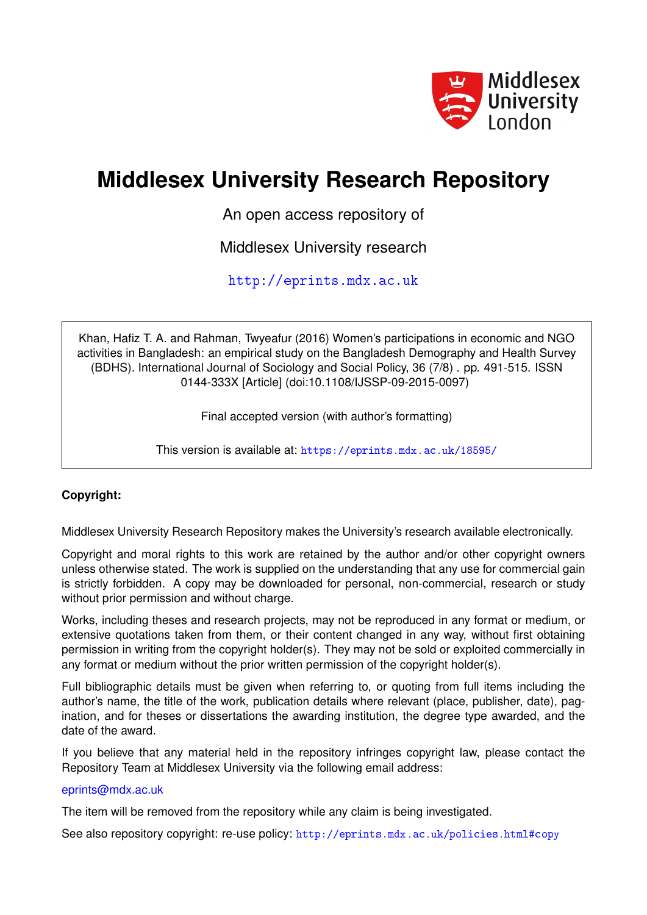

# **Middlesex University Research Repository**

An open access repository of

Middlesex University research

<http://eprints.mdx.ac.uk>

Khan, Hafiz T. A. and Rahman, Twyeafur (2016) Women's participations in economic and NGO activities in Bangladesh: an empirical study on the Bangladesh Demography and Health Survey (BDHS). International Journal of Sociology and Social Policy, 36 (7/8) . pp. 491-515. ISSN 0144-333X [Article] (doi:10.1108/IJSSP-09-2015-0097)

Final accepted version (with author's formatting)

This version is available at: <https://eprints.mdx.ac.uk/18595/>

# **Copyright:**

Middlesex University Research Repository makes the University's research available electronically.

Copyright and moral rights to this work are retained by the author and/or other copyright owners unless otherwise stated. The work is supplied on the understanding that any use for commercial gain is strictly forbidden. A copy may be downloaded for personal, non-commercial, research or study without prior permission and without charge.

Works, including theses and research projects, may not be reproduced in any format or medium, or extensive quotations taken from them, or their content changed in any way, without first obtaining permission in writing from the copyright holder(s). They may not be sold or exploited commercially in any format or medium without the prior written permission of the copyright holder(s).

Full bibliographic details must be given when referring to, or quoting from full items including the author's name, the title of the work, publication details where relevant (place, publisher, date), pagination, and for theses or dissertations the awarding institution, the degree type awarded, and the date of the award.

If you believe that any material held in the repository infringes copyright law, please contact the Repository Team at Middlesex University via the following email address:

## [eprints@mdx.ac.uk](mailto:eprints@mdx.ac.uk)

The item will be removed from the repository while any claim is being investigated.

See also repository copyright: re-use policy: <http://eprints.mdx.ac.uk/policies.html#copy>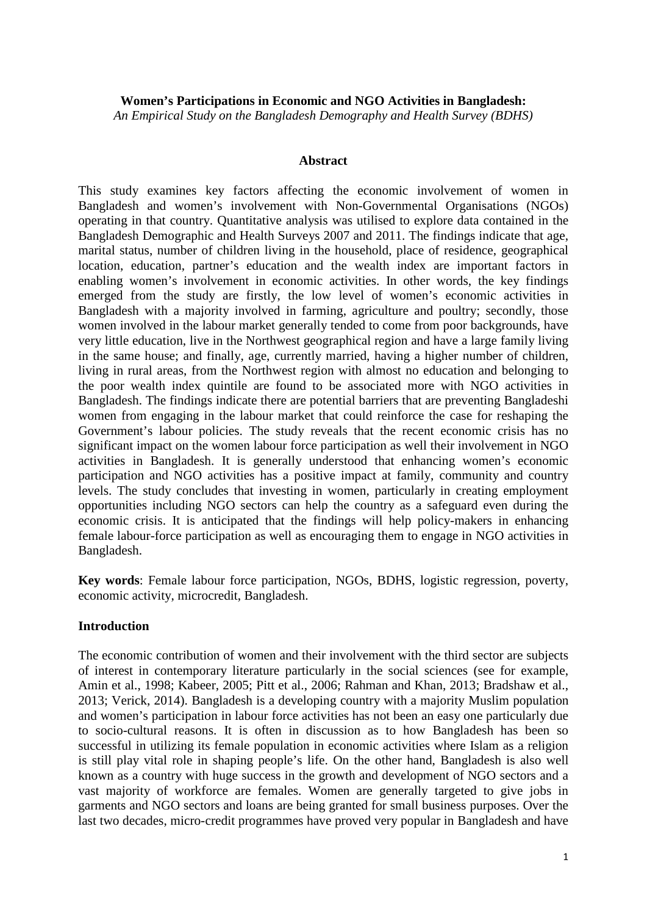# **Women's Participations in Economic and NGO Activities in Bangladesh:**  *An Empirical Study on the Bangladesh Demography and Health Survey (BDHS)*

## **Abstract**

This study examines key factors affecting the economic involvement of women in Bangladesh and women's involvement with Non-Governmental Organisations (NGOs) operating in that country. Quantitative analysis was utilised to explore data contained in the Bangladesh Demographic and Health Surveys 2007 and 2011. The findings indicate that age, marital status, number of children living in the household, place of residence, geographical location, education, partner's education and the wealth index are important factors in enabling women's involvement in economic activities. In other words, the key findings emerged from the study are firstly, the low level of women's economic activities in Bangladesh with a majority involved in farming, agriculture and poultry; secondly, those women involved in the labour market generally tended to come from poor backgrounds, have very little education, live in the Northwest geographical region and have a large family living in the same house; and finally, age, currently married, having a higher number of children, living in rural areas, from the Northwest region with almost no education and belonging to the poor wealth index quintile are found to be associated more with NGO activities in Bangladesh. The findings indicate there are potential barriers that are preventing Bangladeshi women from engaging in the labour market that could reinforce the case for reshaping the Government's labour policies. The study reveals that the recent economic crisis has no significant impact on the women labour force participation as well their involvement in NGO activities in Bangladesh. It is generally understood that enhancing women's economic participation and NGO activities has a positive impact at family, community and country levels. The study concludes that investing in women, particularly in creating employment opportunities including NGO sectors can help the country as a safeguard even during the economic crisis. It is anticipated that the findings will help policy-makers in enhancing female labour-force participation as well as encouraging them to engage in NGO activities in Bangladesh.

**Key words**: Female labour force participation, NGOs, BDHS, logistic regression, poverty, economic activity, microcredit, Bangladesh.

## **Introduction**

The economic contribution of women and their involvement with the third sector are subjects of interest in contemporary literature particularly in the social sciences (see for example, Amin et al., 1998; Kabeer, 2005; Pitt et al., 2006; Rahman and Khan, 2013; Bradshaw et al., 2013; Verick, 2014). Bangladesh is a developing country with a majority Muslim population and women's participation in labour force activities has not been an easy one particularly due to socio-cultural reasons. It is often in discussion as to how Bangladesh has been so successful in utilizing its female population in economic activities where Islam as a religion is still play vital role in shaping people's life. On the other hand, Bangladesh is also well known as a country with huge success in the growth and development of NGO sectors and a vast majority of workforce are females. Women are generally targeted to give jobs in garments and NGO sectors and loans are being granted for small business purposes. Over the last two decades, micro-credit programmes have proved very popular in Bangladesh and have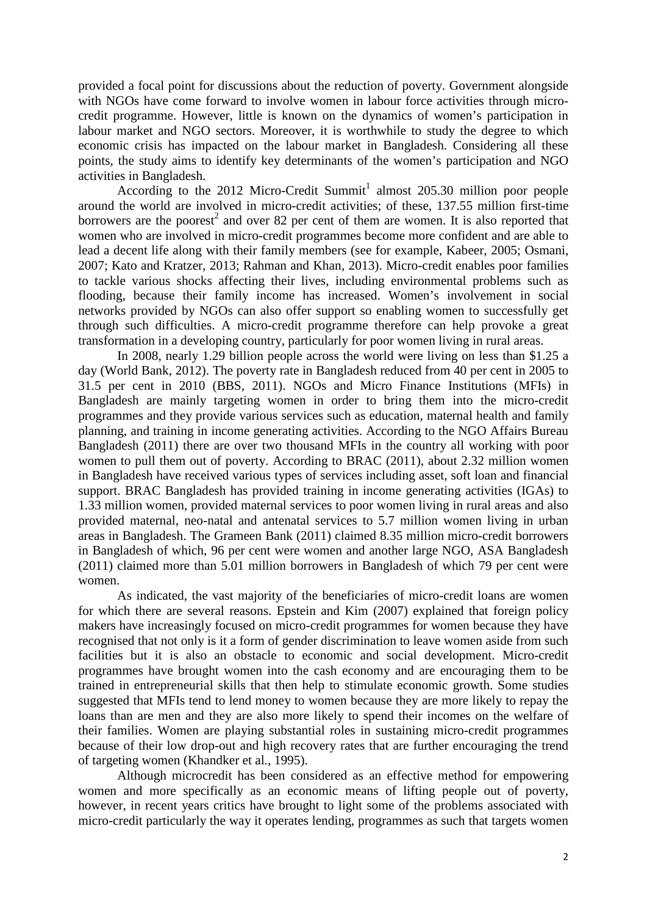provided a focal point for discussions about the reduction of poverty. Government alongside with NGOs have come forward to involve women in labour force activities through microcredit programme. However, little is known on the dynamics of women's participation in labour market and NGO sectors. Moreover, it is worthwhile to study the degree to which economic crisis has impacted on the labour market in Bangladesh. Considering all these points, the study aims to identify key determinants of the women's participation and NGO activities in Bangladesh.

According to the 2012 Micro-Credit Summit<sup>1</sup> almost 205.30 million poor people around the world are involved in micro-credit activities; of these, 137.55 million first-time borrowers are the poorest<sup>2</sup> and over 82 per cent of them are women. It is also reported that women who are involved in micro-credit programmes become more confident and are able to lead a decent life along with their family members (see for example, Kabeer, 2005; Osmani, 2007; Kato and Kratzer, 2013; Rahman and Khan, 2013). Micro-credit enables poor families to tackle various shocks affecting their lives, including environmental problems such as flooding, because their family income has increased. Women's involvement in social networks provided by NGOs can also offer support so enabling women to successfully get through such difficulties. A micro-credit programme therefore can help provoke a great transformation in a developing country, particularly for poor women living in rural areas.

In 2008, nearly 1.29 billion people across the world were living on less than \$1.25 a day (World Bank, 2012). The poverty rate in Bangladesh reduced from 40 per cent in 2005 to 31.5 per cent in 2010 (BBS, 2011). NGOs and Micro Finance Institutions (MFIs) in Bangladesh are mainly targeting women in order to bring them into the micro-credit programmes and they provide various services such as education, maternal health and family planning, and training in income generating activities. According to the NGO Affairs Bureau Bangladesh (2011) there are over two thousand MFIs in the country all working with poor women to pull them out of poverty. According to BRAC (2011), about 2.32 million women in Bangladesh have received various types of services including asset, soft loan and financial support. BRAC Bangladesh has provided training in income generating activities (IGAs) to 1.33 million women, provided maternal services to poor women living in rural areas and also provided maternal, neo-natal and antenatal services to 5.7 million women living in urban areas in Bangladesh. The Grameen Bank (2011) claimed 8.35 million micro-credit borrowers in Bangladesh of which, 96 per cent were women and another large NGO, ASA Bangladesh (2011) claimed more than 5.01 million borrowers in Bangladesh of which 79 per cent were women.

As indicated, the vast majority of the beneficiaries of micro-credit loans are women for which there are several reasons. Epstein and Kim (2007) explained that foreign policy makers have increasingly focused on micro-credit programmes for women because they have recognised that not only is it a form of gender discrimination to leave women aside from such facilities but it is also an obstacle to economic and social development. Micro-credit programmes have brought women into the cash economy and are encouraging them to be trained in entrepreneurial skills that then help to stimulate economic growth. Some studies suggested that MFIs tend to lend money to women because they are more likely to repay the loans than are men and they are also more likely to spend their incomes on the welfare of their families. Women are playing substantial roles in sustaining micro-credit programmes because of their low drop-out and high recovery rates that are further encouraging the trend of targeting women (Khandker et al*.*, 1995).

Although microcredit has been considered as an effective method for empowering women and more specifically as an economic means of lifting people out of poverty, however, in recent years critics have brought to light some of the problems associated with micro-credit particularly the way it operates lending, programmes as such that targets women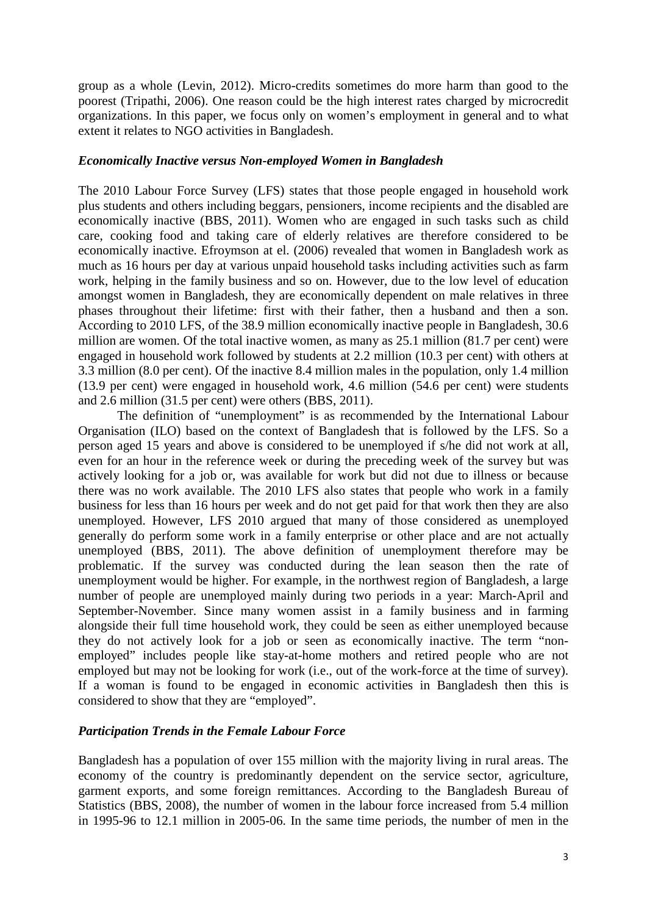group as a whole (Levin, 2012). Micro-credits sometimes do more harm than good to the poorest (Tripathi, 2006). One reason could be the high interest rates charged by microcredit organizations. In this paper, we focus only on women's employment in general and to what extent it relates to NGO activities in Bangladesh.

## *Economically Inactive versus Non-employed Women in Bangladesh*

The 2010 Labour Force Survey (LFS) states that those people engaged in household work plus students and others including beggars, pensioners, income recipients and the disabled are economically inactive (BBS, 2011). Women who are engaged in such tasks such as child care, cooking food and taking care of elderly relatives are therefore considered to be economically inactive. Efroymson at el. (2006) revealed that women in Bangladesh work as much as 16 hours per day at various unpaid household tasks including activities such as farm work, helping in the family business and so on. However, due to the low level of education amongst women in Bangladesh, they are economically dependent on male relatives in three phases throughout their lifetime: first with their father, then a husband and then a son. According to 2010 LFS, of the 38.9 million economically inactive people in Bangladesh, 30.6 million are women. Of the total inactive women, as many as 25.1 million (81.7 per cent) were engaged in household work followed by students at 2.2 million (10.3 per cent) with others at 3.3 million (8.0 per cent). Of the inactive 8.4 million males in the population, only 1.4 million (13.9 per cent) were engaged in household work, 4.6 million (54.6 per cent) were students and 2.6 million (31.5 per cent) were others (BBS, 2011).

The definition of "unemployment" is as recommended by the International Labour Organisation (ILO) based on the context of Bangladesh that is followed by the LFS. So a person aged 15 years and above is considered to be unemployed if s/he did not work at all, even for an hour in the reference week or during the preceding week of the survey but was actively looking for a job or, was available for work but did not due to illness or because there was no work available. The 2010 LFS also states that people who work in a family business for less than 16 hours per week and do not get paid for that work then they are also unemployed. However, LFS 2010 argued that many of those considered as unemployed generally do perform some work in a family enterprise or other place and are not actually unemployed (BBS, 2011). The above definition of unemployment therefore may be problematic. If the survey was conducted during the lean season then the rate of unemployment would be higher. For example, in the northwest region of Bangladesh, a large number of people are unemployed mainly during two periods in a year: March-April and September-November. Since many women assist in a family business and in farming alongside their full time household work, they could be seen as either unemployed because they do not actively look for a job or seen as economically inactive. The term "nonemployed" includes people like stay-at-home mothers and retired people who are not employed but may not be looking for work (i.e., out of the work-force at the time of survey). If a woman is found to be engaged in economic activities in Bangladesh then this is considered to show that they are "employed".

# *Participation Trends in the Female Labour Force*

Bangladesh has a population of over 155 million with the majority living in rural areas. The economy of the country is predominantly dependent on the service sector, agriculture, garment exports, and some foreign remittances. According to the Bangladesh Bureau of Statistics (BBS, 2008), the number of women in the labour force increased from 5.4 million in 1995-96 to 12.1 million in 2005-06. In the same time periods, the number of men in the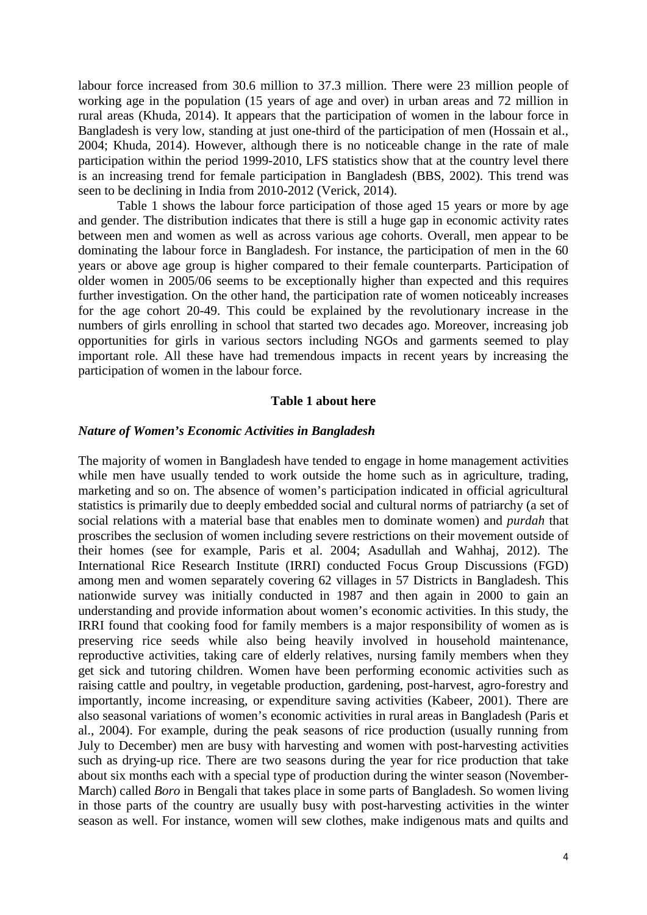labour force increased from 30.6 million to 37.3 million. There were 23 million people of working age in the population (15 years of age and over) in urban areas and 72 million in rural areas (Khuda, 2014). It appears that the participation of women in the labour force in Bangladesh is very low, standing at just one-third of the participation of men (Hossain et al., 2004; Khuda, 2014). However, although there is no noticeable change in the rate of male participation within the period 1999-2010, LFS statistics show that at the country level there is an increasing trend for female participation in Bangladesh (BBS, 2002). This trend was seen to be declining in India from 2010-2012 (Verick, 2014).

Table 1 shows the labour force participation of those aged 15 years or more by age and gender. The distribution indicates that there is still a huge gap in economic activity rates between men and women as well as across various age cohorts. Overall, men appear to be dominating the labour force in Bangladesh. For instance, the participation of men in the 60 years or above age group is higher compared to their female counterparts. Participation of older women in 2005/06 seems to be exceptionally higher than expected and this requires further investigation. On the other hand, the participation rate of women noticeably increases for the age cohort 20-49. This could be explained by the revolutionary increase in the numbers of girls enrolling in school that started two decades ago. Moreover, increasing job opportunities for girls in various sectors including NGOs and garments seemed to play important role. All these have had tremendous impacts in recent years by increasing the participation of women in the labour force.

## **Table 1 about here**

#### *Nature of Women's Economic Activities in Bangladesh*

The majority of women in Bangladesh have tended to engage in home management activities while men have usually tended to work outside the home such as in agriculture, trading, marketing and so on. The absence of women's participation indicated in official agricultural statistics is primarily due to deeply embedded social and cultural norms of patriarchy (a set of social relations with a material base that enables men to dominate women) and *purdah* that proscribes the seclusion of women including severe restrictions on their movement outside of their homes (see for example, Paris et al. 2004; Asadullah and Wahhaj, 2012). The International Rice Research Institute (IRRI) conducted Focus Group Discussions (FGD) among men and women separately covering 62 villages in 57 Districts in Bangladesh. This nationwide survey was initially conducted in 1987 and then again in 2000 to gain an understanding and provide information about women's economic activities. In this study, the IRRI found that cooking food for family members is a major responsibility of women as is preserving rice seeds while also being heavily involved in household maintenance, reproductive activities, taking care of elderly relatives, nursing family members when they get sick and tutoring children. Women have been performing economic activities such as raising cattle and poultry, in vegetable production, gardening, post-harvest, agro-forestry and importantly, income increasing, or expenditure saving activities (Kabeer, 2001). There are also seasonal variations of women's economic activities in rural areas in Bangladesh (Paris et al., 2004). For example, during the peak seasons of rice production (usually running from July to December) men are busy with harvesting and women with post-harvesting activities such as drying-up rice. There are two seasons during the year for rice production that take about six months each with a special type of production during the winter season (November-March) called *Boro* in Bengali that takes place in some parts of Bangladesh. So women living in those parts of the country are usually busy with post-harvesting activities in the winter season as well. For instance, women will sew clothes, make indigenous mats and quilts and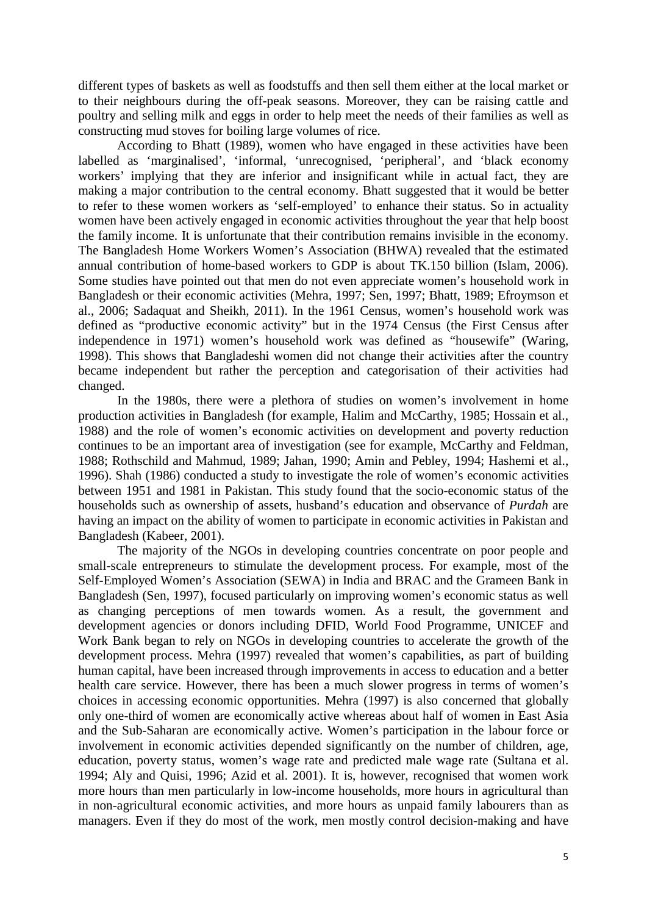different types of baskets as well as foodstuffs and then sell them either at the local market or to their neighbours during the off-peak seasons. Moreover, they can be raising cattle and poultry and selling milk and eggs in order to help meet the needs of their families as well as constructing mud stoves for boiling large volumes of rice.

According to Bhatt (1989), women who have engaged in these activities have been labelled as 'marginalised', 'informal, 'unrecognised, 'peripheral', and 'black economy workers' implying that they are inferior and insignificant while in actual fact, they are making a major contribution to the central economy. Bhatt suggested that it would be better to refer to these women workers as 'self-employed' to enhance their status. So in actuality women have been actively engaged in economic activities throughout the year that help boost the family income. It is unfortunate that their contribution remains invisible in the economy. The Bangladesh Home Workers Women's Association (BHWA) revealed that the estimated annual contribution of home-based workers to GDP is about TK.150 billion (Islam, 2006). Some studies have pointed out that men do not even appreciate women's household work in Bangladesh or their economic activities (Mehra, 1997; Sen, 1997; Bhatt, 1989; Efroymson et al., 2006; Sadaquat and Sheikh, 2011). In the 1961 Census, women's household work was defined as "productive economic activity" but in the 1974 Census (the First Census after independence in 1971) women's household work was defined as "housewife" (Waring, 1998). This shows that Bangladeshi women did not change their activities after the country became independent but rather the perception and categorisation of their activities had changed.

In the 1980s, there were a plethora of studies on women's involvement in home production activities in Bangladesh (for example, Halim and McCarthy, 1985; Hossain et al., 1988) and the role of women's economic activities on development and poverty reduction continues to be an important area of investigation (see for example, McCarthy and Feldman, 1988; Rothschild and Mahmud, 1989; Jahan, 1990; Amin and Pebley, 1994; Hashemi et al., 1996). Shah (1986) conducted a study to investigate the role of women's economic activities between 1951 and 1981 in Pakistan. This study found that the socio-economic status of the households such as ownership of assets, husband's education and observance of *Purdah* are having an impact on the ability of women to participate in economic activities in Pakistan and Bangladesh (Kabeer, 2001).

The majority of the NGOs in developing countries concentrate on poor people and small-scale entrepreneurs to stimulate the development process. For example, most of the Self-Employed Women's Association (SEWA) in India and BRAC and the Grameen Bank in Bangladesh (Sen, 1997), focused particularly on improving women's economic status as well as changing perceptions of men towards women. As a result, the government and development agencies or donors including DFID, World Food Programme, UNICEF and Work Bank began to rely on NGOs in developing countries to accelerate the growth of the development process. Mehra (1997) revealed that women's capabilities, as part of building human capital, have been increased through improvements in access to education and a better health care service. However, there has been a much slower progress in terms of women's choices in accessing economic opportunities. Mehra (1997) is also concerned that globally only one-third of women are economically active whereas about half of women in East Asia and the Sub-Saharan are economically active. Women's participation in the labour force or involvement in economic activities depended significantly on the number of children, age, education, poverty status, women's wage rate and predicted male wage rate (Sultana et al. 1994; Aly and Quisi, 1996; Azid et al. 2001). It is, however, recognised that women work more hours than men particularly in low-income households, more hours in agricultural than in non-agricultural economic activities, and more hours as unpaid family labourers than as managers. Even if they do most of the work, men mostly control decision-making and have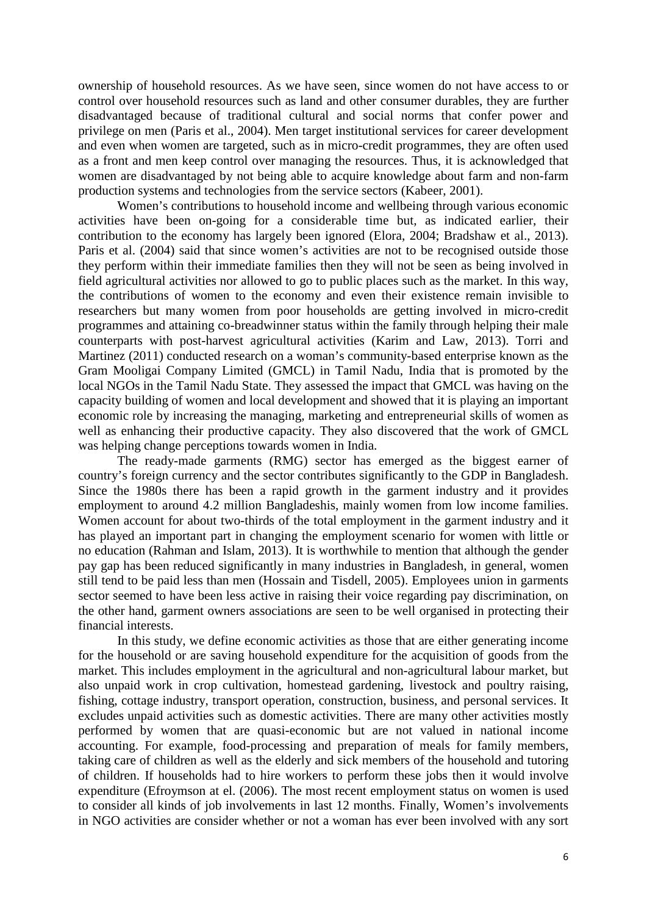ownership of household resources. As we have seen, since women do not have access to or control over household resources such as land and other consumer durables, they are further disadvantaged because of traditional cultural and social norms that confer power and privilege on men (Paris et al., 2004). Men target institutional services for career development and even when women are targeted, such as in micro-credit programmes, they are often used as a front and men keep control over managing the resources. Thus, it is acknowledged that women are disadvantaged by not being able to acquire knowledge about farm and non-farm production systems and technologies from the service sectors (Kabeer, 2001).

Women's contributions to household income and wellbeing through various economic activities have been on-going for a considerable time but, as indicated earlier, their contribution to the economy has largely been ignored (Elora, 2004; Bradshaw et al., 2013). Paris et al. (2004) said that since women's activities are not to be recognised outside those they perform within their immediate families then they will not be seen as being involved in field agricultural activities nor allowed to go to public places such as the market. In this way, the contributions of women to the economy and even their existence remain invisible to researchers but many women from poor households are getting involved in micro-credit programmes and attaining co-breadwinner status within the family through helping their male counterparts with post-harvest agricultural activities (Karim and Law, 2013). Torri and Martinez (2011) conducted research on a woman's community-based enterprise known as the Gram Mooligai Company Limited (GMCL) in Tamil Nadu, India that is promoted by the local NGOs in the Tamil Nadu State. They assessed the impact that GMCL was having on the capacity building of women and local development and showed that it is playing an important economic role by increasing the managing, marketing and entrepreneurial skills of women as well as enhancing their productive capacity. They also discovered that the work of GMCL was helping change perceptions towards women in India.

The ready-made garments (RMG) sector has emerged as the biggest earner of country's foreign currency and the sector contributes significantly to the GDP in Bangladesh. Since the 1980s there has been a rapid growth in the garment industry and it provides employment to around 4.2 million Bangladeshis, mainly women from low income families. Women account for about two-thirds of the total employment in the garment industry and it has played an important part in changing the employment scenario for women with little or no education (Rahman and Islam, 2013). It is worthwhile to mention that although the gender pay gap has been reduced significantly in many industries in Bangladesh, in general, women still tend to be paid less than men (Hossain and Tisdell, 2005). Employees union in garments sector seemed to have been less active in raising their voice regarding pay discrimination, on the other hand, garment owners associations are seen to be well organised in protecting their financial interests.

In this study, we define economic activities as those that are either generating income for the household or are saving household expenditure for the acquisition of goods from the market. This includes employment in the agricultural and non-agricultural labour market, but also unpaid work in crop cultivation, homestead gardening, livestock and poultry raising, fishing, cottage industry, transport operation, construction, business, and personal services. It excludes unpaid activities such as domestic activities. There are many other activities mostly performed by women that are quasi-economic but are not valued in national income accounting. For example, food-processing and preparation of meals for family members, taking care of children as well as the elderly and sick members of the household and tutoring of children. If households had to hire workers to perform these jobs then it would involve expenditure (Efroymson at el. (2006). The most recent employment status on women is used to consider all kinds of job involvements in last 12 months. Finally, Women's involvements in NGO activities are consider whether or not a woman has ever been involved with any sort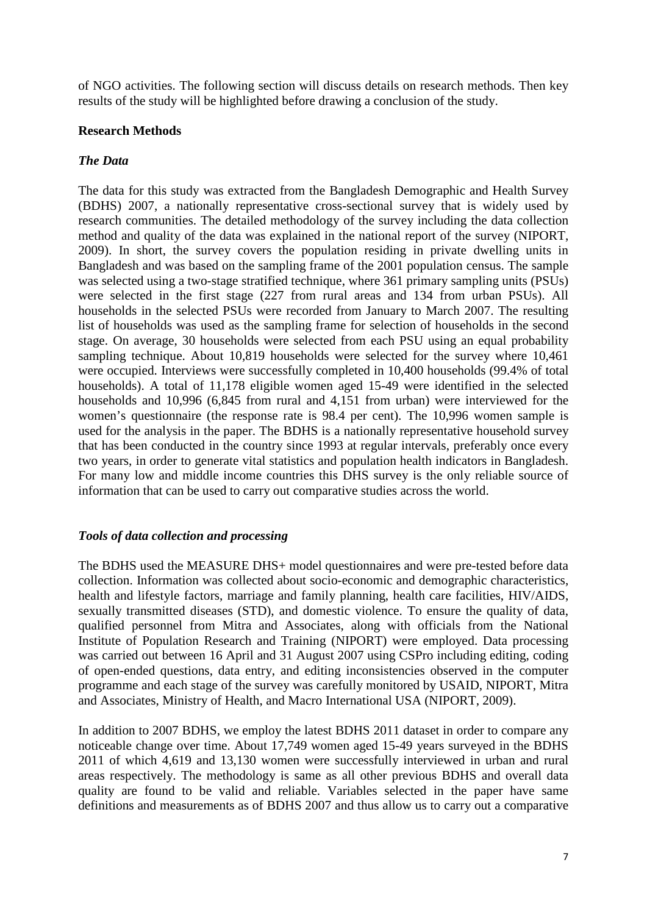of NGO activities. The following section will discuss details on research methods. Then key results of the study will be highlighted before drawing a conclusion of the study.

# **Research Methods**

# *The Data*

The data for this study was extracted from the Bangladesh Demographic and Health Survey (BDHS) 2007, a nationally representative cross-sectional survey that is widely used by research communities. The detailed methodology of the survey including the data collection method and quality of the data was explained in the national report of the survey (NIPORT, 2009). In short, the survey covers the population residing in private dwelling units in Bangladesh and was based on the sampling frame of the 2001 population census. The sample was selected using a two-stage stratified technique, where 361 primary sampling units (PSUs) were selected in the first stage (227 from rural areas and 134 from urban PSUs). All households in the selected PSUs were recorded from January to March 2007. The resulting list of households was used as the sampling frame for selection of households in the second stage. On average, 30 households were selected from each PSU using an equal probability sampling technique. About 10,819 households were selected for the survey where 10,461 were occupied. Interviews were successfully completed in 10,400 households (99.4% of total households). A total of 11,178 eligible women aged 15-49 were identified in the selected households and 10,996 (6,845 from rural and 4,151 from urban) were interviewed for the women's questionnaire (the response rate is 98.4 per cent). The 10,996 women sample is used for the analysis in the paper. The BDHS is a nationally representative household survey that has been conducted in the country since 1993 at regular intervals, preferably once every two years, in order to generate vital statistics and population health indicators in Bangladesh. For many low and middle income countries this DHS survey is the only reliable source of information that can be used to carry out comparative studies across the world.

# *Tools of data collection and processing*

The BDHS used the MEASURE DHS+ model questionnaires and were pre-tested before data collection. Information was collected about socio-economic and demographic characteristics, health and lifestyle factors, marriage and family planning, health care facilities, HIV/AIDS, sexually transmitted diseases (STD), and domestic violence. To ensure the quality of data, qualified personnel from Mitra and Associates, along with officials from the National Institute of Population Research and Training (NIPORT) were employed. Data processing was carried out between 16 April and 31 August 2007 using CSPro including editing, coding of open-ended questions, data entry, and editing inconsistencies observed in the computer programme and each stage of the survey was carefully monitored by USAID, NIPORT, Mitra and Associates, Ministry of Health, and Macro International USA (NIPORT, 2009).

In addition to 2007 BDHS, we employ the latest BDHS 2011 dataset in order to compare any noticeable change over time. About 17,749 women aged 15-49 years surveyed in the BDHS 2011 of which 4,619 and 13,130 women were successfully interviewed in urban and rural areas respectively. The methodology is same as all other previous BDHS and overall data quality are found to be valid and reliable. Variables selected in the paper have same definitions and measurements as of BDHS 2007 and thus allow us to carry out a comparative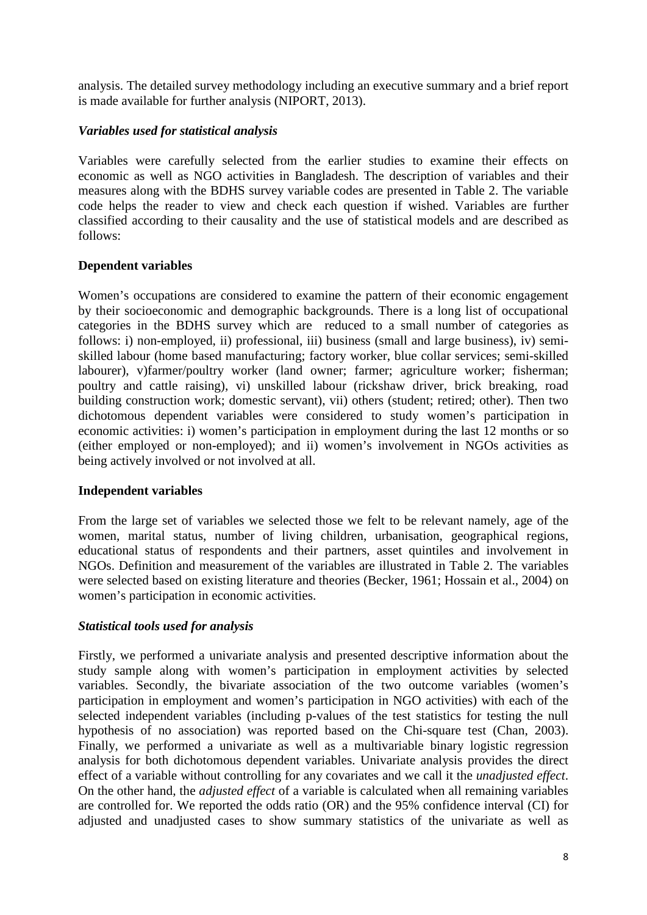analysis. The detailed survey methodology including an executive summary and a brief report is made available for further analysis (NIPORT, 2013).

# *Variables used for statistical analysis*

Variables were carefully selected from the earlier studies to examine their effects on economic as well as NGO activities in Bangladesh. The description of variables and their measures along with the BDHS survey variable codes are presented in Table 2. The variable code helps the reader to view and check each question if wished. Variables are further classified according to their causality and the use of statistical models and are described as follows:

# **Dependent variables**

Women's occupations are considered to examine the pattern of their economic engagement by their socioeconomic and demographic backgrounds. There is a long list of occupational categories in the BDHS survey which are reduced to a small number of categories as follows: i) non-employed, ii) professional, iii) business (small and large business), iv) semiskilled labour (home based manufacturing; factory worker, blue collar services; semi-skilled labourer), v)farmer/poultry worker (land owner; farmer; agriculture worker; fisherman; poultry and cattle raising), vi) unskilled labour (rickshaw driver, brick breaking, road building construction work; domestic servant), vii) others (student; retired; other). Then two dichotomous dependent variables were considered to study women's participation in economic activities: i) women's participation in employment during the last 12 months or so (either employed or non-employed); and ii) women's involvement in NGOs activities as being actively involved or not involved at all.

# **Independent variables**

From the large set of variables we selected those we felt to be relevant namely, age of the women, marital status, number of living children, urbanisation, geographical regions, educational status of respondents and their partners, asset quintiles and involvement in NGOs. Definition and measurement of the variables are illustrated in Table 2. The variables were selected based on existing literature and theories (Becker, 1961; Hossain et al., 2004) on women's participation in economic activities.

# *Statistical tools used for analysis*

Firstly, we performed a univariate analysis and presented descriptive information about the study sample along with women's participation in employment activities by selected variables. Secondly, the bivariate association of the two outcome variables (women's participation in employment and women's participation in NGO activities) with each of the selected independent variables (including p-values of the test statistics for testing the null hypothesis of no association) was reported based on the Chi-square test (Chan, 2003). Finally, we performed a univariate as well as a multivariable binary logistic regression analysis for both dichotomous dependent variables. Univariate analysis provides the direct effect of a variable without controlling for any covariates and we call it the *unadjusted effect*. On the other hand, the *adjusted effect* of a variable is calculated when all remaining variables are controlled for. We reported the odds ratio (OR) and the 95% confidence interval (CI) for adjusted and unadjusted cases to show summary statistics of the univariate as well as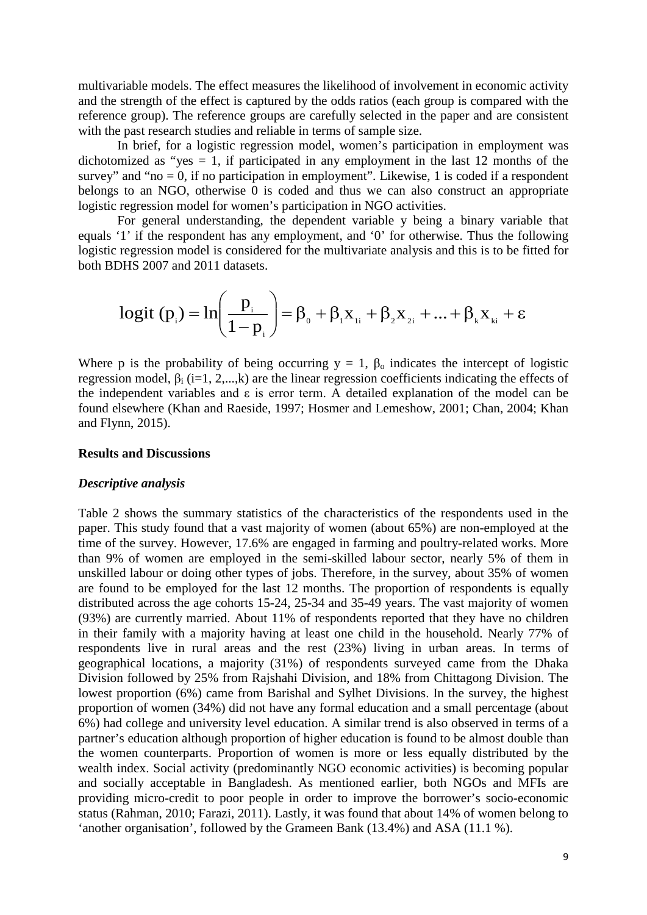multivariable models. The effect measures the likelihood of involvement in economic activity and the strength of the effect is captured by the odds ratios (each group is compared with the reference group). The reference groups are carefully selected in the paper and are consistent with the past research studies and reliable in terms of sample size.

In brief, for a logistic regression model, women's participation in employment was dichotomized as "yes  $= 1$ , if participated in any employment in the last 12 months of the survey" and "no  $= 0$ , if no participation in employment". Likewise, 1 is coded if a respondent belongs to an NGO, otherwise 0 is coded and thus we can also construct an appropriate logistic regression model for women's participation in NGO activities.

For general understanding, the dependent variable y being a binary variable that equals '1' if the respondent has any employment, and '0' for otherwise. Thus the following logistic regression model is considered for the multivariate analysis and this is to be fitted for both BDHS 2007 and 2011 datasets.

$$
logit (pi) = ln \left( \frac{p_{i}}{1-p_{i}} \right) = \beta_{0} + \beta_{1}x_{1i} + \beta_{2}x_{2i} + ... + \beta_{k}x_{ki} + \varepsilon
$$

Where p is the probability of being occurring  $y = 1$ ,  $\beta_0$  indicates the intercept of logistic regression model,  $β<sub>i</sub>$  (i=1, 2,...,k) are the linear regression coefficients indicating the effects of the independent variables and  $\varepsilon$  is error term. A detailed explanation of the model can be found elsewhere (Khan and Raeside, 1997; Hosmer and Lemeshow, 2001; Chan, 2004; Khan and Flynn, 2015).

#### **Results and Discussions**

#### *Descriptive analysis*

Table 2 shows the summary statistics of the characteristics of the respondents used in the paper. This study found that a vast majority of women (about 65%) are non-employed at the time of the survey. However, 17.6% are engaged in farming and poultry-related works. More than 9% of women are employed in the semi-skilled labour sector, nearly 5% of them in unskilled labour or doing other types of jobs. Therefore, in the survey, about 35% of women are found to be employed for the last 12 months. The proportion of respondents is equally distributed across the age cohorts 15-24, 25-34 and 35-49 years. The vast majority of women (93%) are currently married. About 11% of respondents reported that they have no children in their family with a majority having at least one child in the household. Nearly 77% of respondents live in rural areas and the rest (23%) living in urban areas. In terms of geographical locations, a majority (31%) of respondents surveyed came from the Dhaka Division followed by 25% from Rajshahi Division, and 18% from Chittagong Division. The lowest proportion (6%) came from Barishal and Sylhet Divisions. In the survey, the highest proportion of women (34%) did not have any formal education and a small percentage (about 6%) had college and university level education. A similar trend is also observed in terms of a partner's education although proportion of higher education is found to be almost double than the women counterparts. Proportion of women is more or less equally distributed by the wealth index. Social activity (predominantly NGO economic activities) is becoming popular and socially acceptable in Bangladesh. As mentioned earlier, both NGOs and MFIs are providing micro-credit to poor people in order to improve the borrower's socio-economic status (Rahman, 2010; Farazi, 2011). Lastly, it was found that about 14% of women belong to 'another organisation', followed by the Grameen Bank (13.4%) and ASA (11.1 %).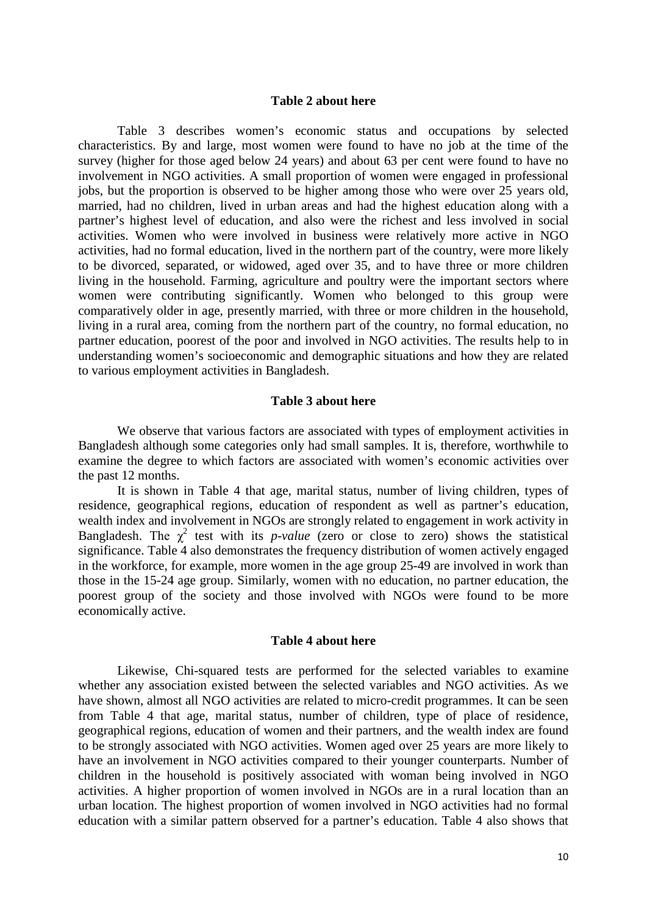#### **Table 2 about here**

Table 3 describes women's economic status and occupations by selected characteristics. By and large, most women were found to have no job at the time of the survey (higher for those aged below 24 years) and about 63 per cent were found to have no involvement in NGO activities. A small proportion of women were engaged in professional jobs, but the proportion is observed to be higher among those who were over 25 years old, married, had no children, lived in urban areas and had the highest education along with a partner's highest level of education, and also were the richest and less involved in social activities. Women who were involved in business were relatively more active in NGO activities, had no formal education, lived in the northern part of the country, were more likely to be divorced, separated, or widowed, aged over 35, and to have three or more children living in the household. Farming, agriculture and poultry were the important sectors where women were contributing significantly. Women who belonged to this group were comparatively older in age, presently married, with three or more children in the household, living in a rural area, coming from the northern part of the country, no formal education, no partner education, poorest of the poor and involved in NGO activities. The results help to in understanding women's socioeconomic and demographic situations and how they are related to various employment activities in Bangladesh.

## **Table 3 about here**

We observe that various factors are associated with types of employment activities in Bangladesh although some categories only had small samples. It is, therefore, worthwhile to examine the degree to which factors are associated with women's economic activities over the past 12 months.

It is shown in Table 4 that age, marital status, number of living children, types of residence, geographical regions, education of respondent as well as partner's education, wealth index and involvement in NGOs are strongly related to engagement in work activity in Bangladesh. The  $\chi^2$  test with its *p-value* (zero or close to zero) shows the statistical significance. Table 4 also demonstrates the frequency distribution of women actively engaged in the workforce, for example, more women in the age group 25-49 are involved in work than those in the 15-24 age group. Similarly, women with no education, no partner education, the poorest group of the society and those involved with NGOs were found to be more economically active.

#### **Table 4 about here**

Likewise, Chi-squared tests are performed for the selected variables to examine whether any association existed between the selected variables and NGO activities. As we have shown, almost all NGO activities are related to micro-credit programmes. It can be seen from Table 4 that age, marital status, number of children, type of place of residence, geographical regions, education of women and their partners, and the wealth index are found to be strongly associated with NGO activities. Women aged over 25 years are more likely to have an involvement in NGO activities compared to their younger counterparts. Number of children in the household is positively associated with woman being involved in NGO activities. A higher proportion of women involved in NGOs are in a rural location than an urban location. The highest proportion of women involved in NGO activities had no formal education with a similar pattern observed for a partner's education. Table 4 also shows that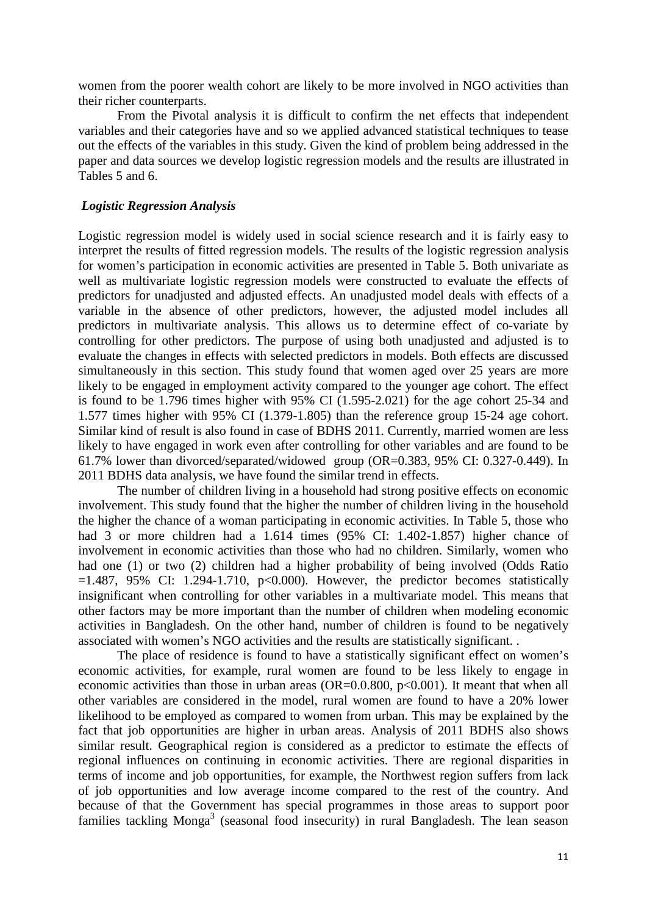women from the poorer wealth cohort are likely to be more involved in NGO activities than their richer counterparts.

From the Pivotal analysis it is difficult to confirm the net effects that independent variables and their categories have and so we applied advanced statistical techniques to tease out the effects of the variables in this study. Given the kind of problem being addressed in the paper and data sources we develop logistic regression models and the results are illustrated in Tables 5 and 6.

## *Logistic Regression Analysis*

Logistic regression model is widely used in social science research and it is fairly easy to interpret the results of fitted regression models. The results of the logistic regression analysis for women's participation in economic activities are presented in Table 5. Both univariate as well as multivariate logistic regression models were constructed to evaluate the effects of predictors for unadjusted and adjusted effects. An unadjusted model deals with effects of a variable in the absence of other predictors, however, the adjusted model includes all predictors in multivariate analysis. This allows us to determine effect of co-variate by controlling for other predictors. The purpose of using both unadjusted and adjusted is to evaluate the changes in effects with selected predictors in models. Both effects are discussed simultaneously in this section. This study found that women aged over 25 years are more likely to be engaged in employment activity compared to the younger age cohort. The effect is found to be 1.796 times higher with 95% CI (1.595-2.021) for the age cohort 25-34 and 1.577 times higher with 95% CI (1.379-1.805) than the reference group 15-24 age cohort. Similar kind of result is also found in case of BDHS 2011. Currently, married women are less likely to have engaged in work even after controlling for other variables and are found to be 61.7% lower than divorced/separated/widowed group (OR=0.383, 95% CI: 0.327-0.449). In 2011 BDHS data analysis, we have found the similar trend in effects.

The number of children living in a household had strong positive effects on economic involvement. This study found that the higher the number of children living in the household the higher the chance of a woman participating in economic activities. In Table 5, those who had 3 or more children had a 1.614 times (95% CI: 1.402-1.857) higher chance of involvement in economic activities than those who had no children. Similarly, women who had one (1) or two (2) children had a higher probability of being involved (Odds Ratio  $=1.487$ , 95% CI: 1.294-1.710, p<0.000). However, the predictor becomes statistically insignificant when controlling for other variables in a multivariate model. This means that other factors may be more important than the number of children when modeling economic activities in Bangladesh. On the other hand, number of children is found to be negatively associated with women's NGO activities and the results are statistically significant. .

The place of residence is found to have a statistically significant effect on women's economic activities, for example, rural women are found to be less likely to engage in economic activities than those in urban areas ( $OR=0.0.800$ ,  $p<0.001$ ). It meant that when all other variables are considered in the model, rural women are found to have a 20% lower likelihood to be employed as compared to women from urban. This may be explained by the fact that job opportunities are higher in urban areas. Analysis of 2011 BDHS also shows similar result. Geographical region is considered as a predictor to estimate the effects of regional influences on continuing in economic activities. There are regional disparities in terms of income and job opportunities, for example, the Northwest region suffers from lack of job opportunities and low average income compared to the rest of the country. And because of that the Government has special programmes in those areas to support poor families tackling Monga<sup>3</sup> (seasonal food insecurity) in rural Bangladesh. The lean season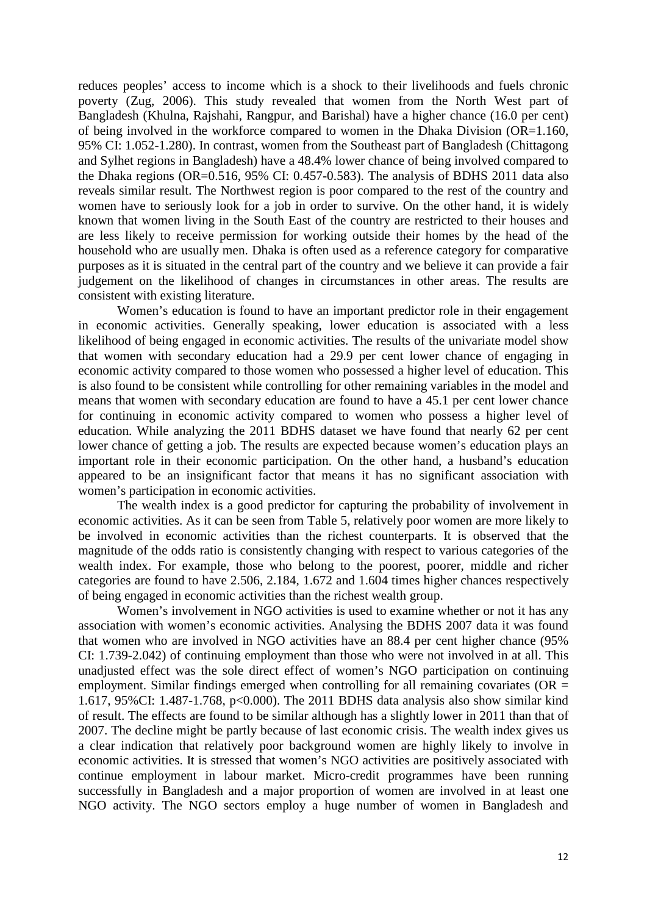reduces peoples' access to income which is a shock to their livelihoods and fuels chronic poverty (Zug, 2006). This study revealed that women from the North West part of Bangladesh (Khulna, Rajshahi, Rangpur, and Barishal) have a higher chance (16.0 per cent) of being involved in the workforce compared to women in the Dhaka Division (OR=1.160, 95% CI: 1.052-1.280). In contrast, women from the Southeast part of Bangladesh (Chittagong and Sylhet regions in Bangladesh) have a 48.4% lower chance of being involved compared to the Dhaka regions (OR=0.516, 95% CI: 0.457-0.583). The analysis of BDHS 2011 data also reveals similar result. The Northwest region is poor compared to the rest of the country and women have to seriously look for a job in order to survive. On the other hand, it is widely known that women living in the South East of the country are restricted to their houses and are less likely to receive permission for working outside their homes by the head of the household who are usually men. Dhaka is often used as a reference category for comparative purposes as it is situated in the central part of the country and we believe it can provide a fair judgement on the likelihood of changes in circumstances in other areas. The results are consistent with existing literature.

Women's education is found to have an important predictor role in their engagement in economic activities. Generally speaking, lower education is associated with a less likelihood of being engaged in economic activities. The results of the univariate model show that women with secondary education had a 29.9 per cent lower chance of engaging in economic activity compared to those women who possessed a higher level of education. This is also found to be consistent while controlling for other remaining variables in the model and means that women with secondary education are found to have a 45.1 per cent lower chance for continuing in economic activity compared to women who possess a higher level of education. While analyzing the 2011 BDHS dataset we have found that nearly 62 per cent lower chance of getting a job. The results are expected because women's education plays an important role in their economic participation. On the other hand, a husband's education appeared to be an insignificant factor that means it has no significant association with women's participation in economic activities.

The wealth index is a good predictor for capturing the probability of involvement in economic activities. As it can be seen from Table 5, relatively poor women are more likely to be involved in economic activities than the richest counterparts. It is observed that the magnitude of the odds ratio is consistently changing with respect to various categories of the wealth index. For example, those who belong to the poorest, poorer, middle and richer categories are found to have 2.506, 2.184, 1.672 and 1.604 times higher chances respectively of being engaged in economic activities than the richest wealth group.

Women's involvement in NGO activities is used to examine whether or not it has any association with women's economic activities. Analysing the BDHS 2007 data it was found that women who are involved in NGO activities have an 88.4 per cent higher chance (95% CI: 1.739-2.042) of continuing employment than those who were not involved in at all. This unadjusted effect was the sole direct effect of women's NGO participation on continuing employment. Similar findings emerged when controlling for all remaining covariates ( $OR =$ 1.617, 95%CI: 1.487-1.768, p<0.000). The 2011 BDHS data analysis also show similar kind of result. The effects are found to be similar although has a slightly lower in 2011 than that of 2007. The decline might be partly because of last economic crisis. The wealth index gives us a clear indication that relatively poor background women are highly likely to involve in economic activities. It is stressed that women's NGO activities are positively associated with continue employment in labour market. Micro-credit programmes have been running successfully in Bangladesh and a major proportion of women are involved in at least one NGO activity. The NGO sectors employ a huge number of women in Bangladesh and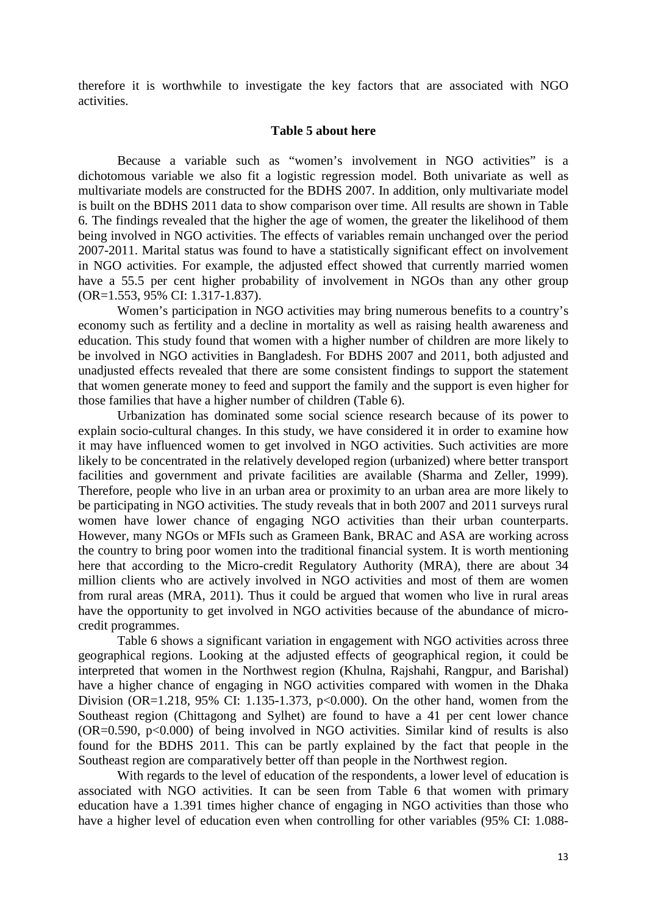therefore it is worthwhile to investigate the key factors that are associated with NGO activities.

#### **Table 5 about here**

Because a variable such as "women's involvement in NGO activities" is a dichotomous variable we also fit a logistic regression model. Both univariate as well as multivariate models are constructed for the BDHS 2007. In addition, only multivariate model is built on the BDHS 2011 data to show comparison over time. All results are shown in Table 6. The findings revealed that the higher the age of women, the greater the likelihood of them being involved in NGO activities. The effects of variables remain unchanged over the period 2007-2011. Marital status was found to have a statistically significant effect on involvement in NGO activities. For example, the adjusted effect showed that currently married women have a 55.5 per cent higher probability of involvement in NGOs than any other group (OR=1.553, 95% CI: 1.317-1.837).

Women's participation in NGO activities may bring numerous benefits to a country's economy such as fertility and a decline in mortality as well as raising health awareness and education. This study found that women with a higher number of children are more likely to be involved in NGO activities in Bangladesh. For BDHS 2007 and 2011, both adjusted and unadjusted effects revealed that there are some consistent findings to support the statement that women generate money to feed and support the family and the support is even higher for those families that have a higher number of children (Table 6).

Urbanization has dominated some social science research because of its power to explain socio-cultural changes. In this study, we have considered it in order to examine how it may have influenced women to get involved in NGO activities. Such activities are more likely to be concentrated in the relatively developed region (urbanized) where better transport facilities and government and private facilities are available (Sharma and Zeller, 1999). Therefore, people who live in an urban area or proximity to an urban area are more likely to be participating in NGO activities. The study reveals that in both 2007 and 2011 surveys rural women have lower chance of engaging NGO activities than their urban counterparts. However, many NGOs or MFIs such as Grameen Bank, BRAC and ASA are working across the country to bring poor women into the traditional financial system. It is worth mentioning here that according to the Micro-credit Regulatory Authority (MRA), there are about 34 million clients who are actively involved in NGO activities and most of them are women from rural areas (MRA, 2011). Thus it could be argued that women who live in rural areas have the opportunity to get involved in NGO activities because of the abundance of microcredit programmes.

Table 6 shows a significant variation in engagement with NGO activities across three geographical regions. Looking at the adjusted effects of geographical region, it could be interpreted that women in the Northwest region (Khulna, Rajshahi, Rangpur, and Barishal) have a higher chance of engaging in NGO activities compared with women in the Dhaka Division (OR=1.218, 95% CI: 1.135-1.373, p<0.000). On the other hand, women from the Southeast region (Chittagong and Sylhet) are found to have a 41 per cent lower chance  $(OR=0.590, p<0.000)$  of being involved in NGO activities. Similar kind of results is also found for the BDHS 2011. This can be partly explained by the fact that people in the Southeast region are comparatively better off than people in the Northwest region.

With regards to the level of education of the respondents, a lower level of education is associated with NGO activities. It can be seen from Table 6 that women with primary education have a 1.391 times higher chance of engaging in NGO activities than those who have a higher level of education even when controlling for other variables (95% CI: 1.088-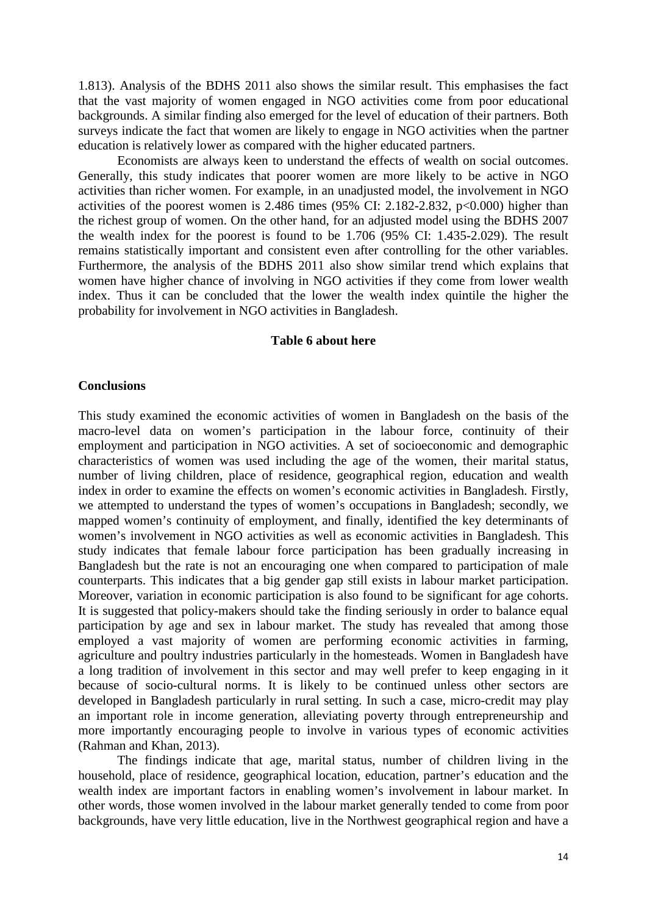1.813). Analysis of the BDHS 2011 also shows the similar result. This emphasises the fact that the vast majority of women engaged in NGO activities come from poor educational backgrounds. A similar finding also emerged for the level of education of their partners. Both surveys indicate the fact that women are likely to engage in NGO activities when the partner education is relatively lower as compared with the higher educated partners.

Economists are always keen to understand the effects of wealth on social outcomes. Generally, this study indicates that poorer women are more likely to be active in NGO activities than richer women. For example, in an unadjusted model, the involvement in NGO activities of the poorest women is 2.486 times  $(95\% \text{ CI: } 2.182\text{-}2.832, \text{ p} < 0.000)$  higher than the richest group of women. On the other hand, for an adjusted model using the BDHS 2007 the wealth index for the poorest is found to be 1.706 (95% CI: 1.435-2.029). The result remains statistically important and consistent even after controlling for the other variables. Furthermore, the analysis of the BDHS 2011 also show similar trend which explains that women have higher chance of involving in NGO activities if they come from lower wealth index. Thus it can be concluded that the lower the wealth index quintile the higher the probability for involvement in NGO activities in Bangladesh.

## **Table 6 about here**

## **Conclusions**

This study examined the economic activities of women in Bangladesh on the basis of the macro-level data on women's participation in the labour force, continuity of their employment and participation in NGO activities. A set of socioeconomic and demographic characteristics of women was used including the age of the women, their marital status, number of living children, place of residence, geographical region, education and wealth index in order to examine the effects on women's economic activities in Bangladesh. Firstly, we attempted to understand the types of women's occupations in Bangladesh; secondly, we mapped women's continuity of employment, and finally, identified the key determinants of women's involvement in NGO activities as well as economic activities in Bangladesh. This study indicates that female labour force participation has been gradually increasing in Bangladesh but the rate is not an encouraging one when compared to participation of male counterparts. This indicates that a big gender gap still exists in labour market participation. Moreover, variation in economic participation is also found to be significant for age cohorts. It is suggested that policy-makers should take the finding seriously in order to balance equal participation by age and sex in labour market. The study has revealed that among those employed a vast majority of women are performing economic activities in farming, agriculture and poultry industries particularly in the homesteads. Women in Bangladesh have a long tradition of involvement in this sector and may well prefer to keep engaging in it because of socio-cultural norms. It is likely to be continued unless other sectors are developed in Bangladesh particularly in rural setting. In such a case, micro-credit may play an important role in income generation, alleviating poverty through entrepreneurship and more importantly encouraging people to involve in various types of economic activities (Rahman and Khan, 2013).

The findings indicate that age, marital status, number of children living in the household, place of residence, geographical location, education, partner's education and the wealth index are important factors in enabling women's involvement in labour market. In other words, those women involved in the labour market generally tended to come from poor backgrounds, have very little education, live in the Northwest geographical region and have a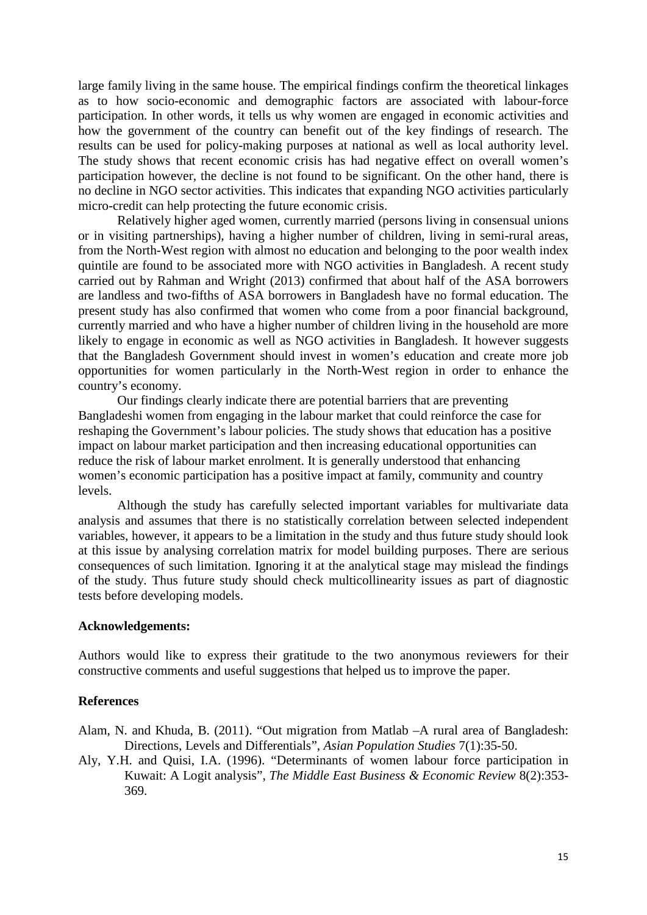large family living in the same house. The empirical findings confirm the theoretical linkages as to how socio-economic and demographic factors are associated with labour-force participation. In other words, it tells us why women are engaged in economic activities and how the government of the country can benefit out of the key findings of research. The results can be used for policy-making purposes at national as well as local authority level. The study shows that recent economic crisis has had negative effect on overall women's participation however, the decline is not found to be significant. On the other hand, there is no decline in NGO sector activities. This indicates that expanding NGO activities particularly micro-credit can help protecting the future economic crisis.

Relatively higher aged women, currently married (persons living in consensual unions or in visiting partnerships), having a higher number of children, living in semi-rural areas, from the North-West region with almost no education and belonging to the poor wealth index quintile are found to be associated more with NGO activities in Bangladesh. A recent study carried out by Rahman and Wright (2013) confirmed that about half of the ASA borrowers are landless and two-fifths of ASA borrowers in Bangladesh have no formal education. The present study has also confirmed that women who come from a poor financial background, currently married and who have a higher number of children living in the household are more likely to engage in economic as well as NGO activities in Bangladesh. It however suggests that the Bangladesh Government should invest in women's education and create more job opportunities for women particularly in the North-West region in order to enhance the country's economy.

Our findings clearly indicate there are potential barriers that are preventing Bangladeshi women from engaging in the labour market that could reinforce the case for reshaping the Government's labour policies. The study shows that education has a positive impact on labour market participation and then increasing educational opportunities can reduce the risk of labour market enrolment. It is generally understood that enhancing women's economic participation has a positive impact at family, community and country levels.

Although the study has carefully selected important variables for multivariate data analysis and assumes that there is no statistically correlation between selected independent variables, however, it appears to be a limitation in the study and thus future study should look at this issue by analysing correlation matrix for model building purposes. There are serious consequences of such limitation. Ignoring it at the analytical stage may mislead the findings of the study. Thus future study should check multicollinearity issues as part of diagnostic tests before developing models.

## **Acknowledgements:**

Authors would like to express their gratitude to the two anonymous reviewers for their constructive comments and useful suggestions that helped us to improve the paper.

## **References**

- Alam, N. and Khuda, B. (2011). "Out migration from Matlab –A rural area of Bangladesh: Directions, Levels and Differentials", *Asian Population Studies* 7(1):35-50.
- Aly, Y.H. and Quisi, I.A. (1996). "Determinants of women labour force participation in Kuwait: A Logit analysis", *The Middle East Business & Economic Review* 8(2):353- 369.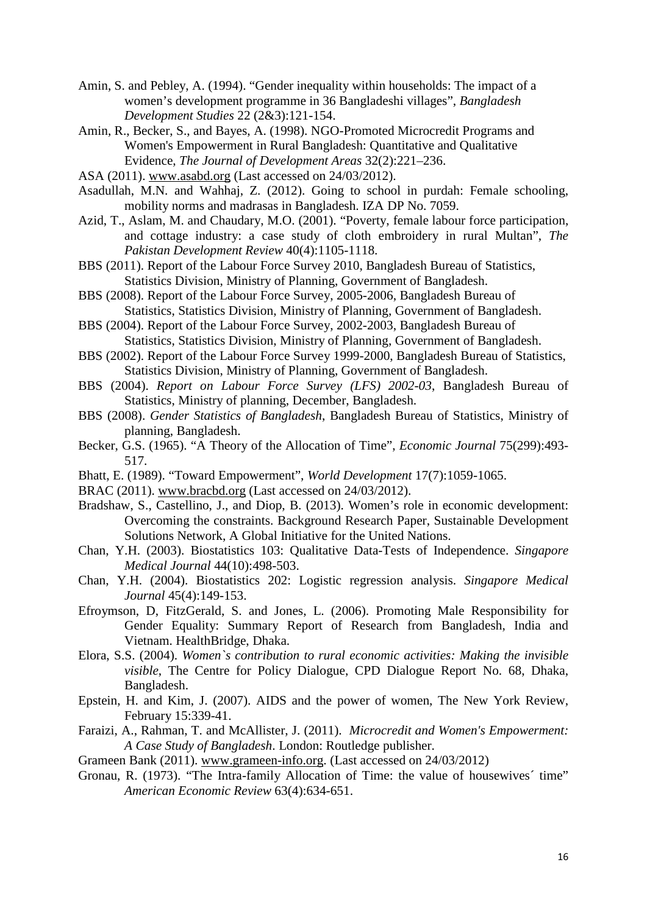Amin, S. and Pebley, A. (1994). "Gender inequality within households: The impact of a women's development programme in 36 Bangladeshi villages", *Bangladesh Development Studies* 22 (2&3):121-154.

Amin, R., Becker, S., and Bayes, A. (1998). NGO-Promoted Microcredit Programs and Women's Empowerment in Rural Bangladesh: Quantitative and Qualitative Evidence, *The Journal of Development Areas* 32(2):221–236.

- ASA (2011). [www.asabd.org](http://www.asabd.org/) (Last accessed on 24/03/2012).
- Asadullah, M.N. and Wahhaj, Z. (2012). Going to school in purdah: Female schooling, mobility norms and madrasas in Bangladesh. IZA DP No. 7059.
- Azid, T., Aslam, M. and Chaudary, M.O. (2001). "Poverty, female labour force participation, and cottage industry: a case study of cloth embroidery in rural Multan", *The Pakistan Development Review* 40(4):1105-1118.
- BBS (2011). Report of the Labour Force Survey 2010, Bangladesh Bureau of Statistics, Statistics Division, Ministry of Planning, Government of Bangladesh.
- BBS (2008). Report of the Labour Force Survey, 2005-2006, Bangladesh Bureau of Statistics, Statistics Division, Ministry of Planning, Government of Bangladesh.
- BBS (2004). Report of the Labour Force Survey, 2002-2003, Bangladesh Bureau of Statistics, Statistics Division, Ministry of Planning, Government of Bangladesh.
- BBS (2002). Report of the Labour Force Survey 1999-2000, Bangladesh Bureau of Statistics, Statistics Division, Ministry of Planning, Government of Bangladesh.
- BBS (2004). *Report on Labour Force Survey (LFS) 2002-03*, Bangladesh Bureau of Statistics, Ministry of planning, December, Bangladesh.
- BBS (2008). *Gender Statistics of Bangladesh*, Bangladesh Bureau of Statistics, Ministry of planning, Bangladesh.
- Becker, G.S. (1965). "A Theory of the Allocation of Time", *Economic Journal* 75(299):493- 517.
- Bhatt, E. (1989). "Toward Empowerment", *World Development* 17(7):1059-1065.
- BRAC (2011). [www.bracbd.org](http://www.bracbd.org/) (Last accessed on 24/03/2012).
- Bradshaw, S., Castellino, J., and Diop, B. (2013). Women's role in economic development: Overcoming the constraints. Background Research Paper, Sustainable Development Solutions Network, A Global Initiative for the United Nations.
- Chan, Y.H. (2003). Biostatistics 103: Qualitative Data-Tests of Independence. *Singapore Medical Journal* 44(10):498-503.
- Chan, Y.H. (2004). Biostatistics 202: Logistic regression analysis. *Singapore Medical Journal* 45(4):149-153.
- Efroymson, D, FitzGerald, S. and Jones, L. (2006). Promoting Male Responsibility for Gender Equality: Summary Report of Research from Bangladesh, India and Vietnam. HealthBridge, Dhaka.
- Elora, S.S. (2004). *Women`s contribution to rural economic activities: Making the invisible visible*, The Centre for Policy Dialogue, CPD Dialogue Report No. 68, Dhaka, Bangladesh.
- Epstein, H. and Kim, J. (2007). AIDS and the power of women, The New York Review, February 15:339-41.
- Faraizi, A., Rahman, T. and McAllister, J. (2011). *Microcredit and Women's Empowerment: A Case Study of Bangladesh*. London: Routledge publisher.
- Grameen Bank (2011). [www.grameen-info.org.](http://www.grameen-info.org/) (Last accessed on 24/03/2012)
- Gronau, R. (1973). "The Intra-family Allocation of Time: the value of housewives´ time" *American Economic Review* 63(4):634-651.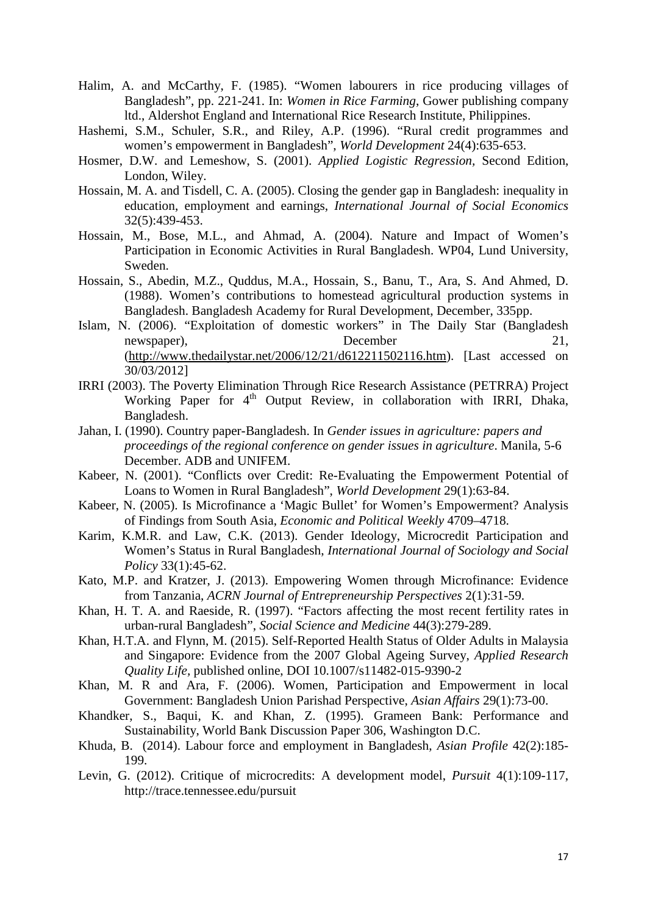- Halim, A. and McCarthy, F. (1985). "Women labourers in rice producing villages of Bangladesh", pp. 221-241. In: *Women in Rice Farming*, Gower publishing company ltd., Aldershot England and International Rice Research Institute, Philippines.
- Hashemi, S.M., Schuler, S.R., and Riley, A.P. (1996). "Rural credit programmes and women's empowerment in Bangladesh", *World Development* 24(4):635-653.
- Hosmer, D.W. and Lemeshow, S. (2001). *Applied Logistic Regression,* Second Edition, London, Wiley.
- Hossain, M. A. and Tisdell, C. A. (2005). Closing the gender gap in Bangladesh: inequality in education, employment and earnings, *International Journal of Social Economics* 32(5):439-453.
- Hossain, M., Bose, M.L., and Ahmad, A. (2004). Nature and Impact of Women's Participation in Economic Activities in Rural Bangladesh. WP04, Lund University, Sweden.
- Hossain, S., Abedin, M.Z., Quddus, M.A., Hossain, S., Banu, T., Ara, S. And Ahmed, D. (1988). Women's contributions to homestead agricultural production systems in Bangladesh. Bangladesh Academy for Rural Development, December, 335pp.
- Islam, N. (2006). "Exploitation of domestic workers" in The Daily Star (Bangladesh newspaper), December 21, [\(http://www.thedailystar.net/2006/12/21/d612211502116.htm\)](http://www.thedailystar.net/2006/12/21/d612211502116.htm). [Last accessed on 30/03/2012]
- IRRI (2003). The Poverty Elimination Through Rice Research Assistance (PETRRA) Project Working Paper for  $4<sup>th</sup>$  Output Review, in collaboration with IRRI, Dhaka, Bangladesh.
- Jahan, I. (1990). Country paper-Bangladesh. In *Gender issues in agriculture: papers and proceedings of the regional conference on gender issues in agriculture*. Manila, 5-6 December. ADB and UNIFEM.
- Kabeer, N. (2001). "Conflicts over Credit: Re-Evaluating the Empowerment Potential of Loans to Women in Rural Bangladesh", *World Development* 29(1):63-84.
- Kabeer, N. (2005). Is Microfinance a 'Magic Bullet' for Women's Empowerment? Analysis of Findings from South Asia, *Economic and Political Weekly* 4709–4718.
- Karim, K.M.R. and Law, C.K. (2013). Gender Ideology, Microcredit Participation and Women's Status in Rural Bangladesh, *International Journal of Sociology and Social Policy* 33(1):45-62.
- Kato, M.P. and Kratzer, J. (2013). Empowering Women through Microfinance: Evidence from Tanzania, *ACRN Journal of Entrepreneurship Perspectives* 2(1):31-59.
- Khan, H. T. A. and Raeside, R. (1997). "Factors affecting the most recent fertility rates in urban-rural Bangladesh", *Social Science and Medicine* 44(3):279-289.
- Khan, H.T.A. and Flynn, M. (2015). Self-Reported Health Status of Older Adults in Malaysia and Singapore: Evidence from the 2007 Global Ageing Survey, *Applied Research Quality Life,* published online, DOI 10.1007/s11482-015-9390-2
- Khan, M. R and Ara, F. (2006). Women, Participation and Empowerment in local Government: Bangladesh Union Parishad Perspective, *Asian Affairs* 29(1):73-00.
- Khandker, S., Baqui, K. and Khan, Z. (1995). Grameen Bank: Performance and Sustainability, World Bank Discussion Paper 306, Washington D.C.
- Khuda, B. (2014). Labour force and employment in Bangladesh, *Asian Profile* 42(2):185- 199.
- Levin, G. (2012). Critique of microcredits: A development model, *Pursuit* 4(1):109-117, http://trace.tennessee.edu/pursuit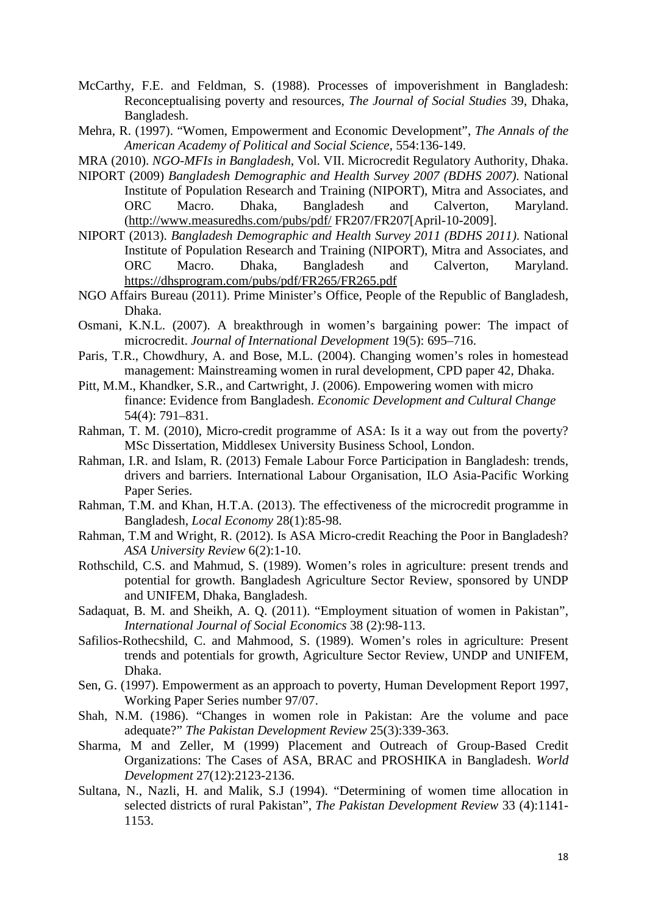- McCarthy, F.E. and Feldman, S. (1988). Processes of impoverishment in Bangladesh: Reconceptualising poverty and resources, *The Journal of Social Studies* 39, Dhaka, Bangladesh.
- Mehra, R. (1997). "Women, Empowerment and Economic Development", *The Annals of the American Academy of Political and Social Science*, 554:136-149.
- MRA (2010). *NGO-MFIs in Bangladesh*, Vol. VII. Microcredit Regulatory Authority, Dhaka.
- NIPORT (2009) *Bangladesh Demographic and Health Survey 2007 (BDHS 2007)*. National Institute of Population Research and Training (NIPORT), Mitra and Associates, and ORC Macro. Dhaka, Bangladesh and Calverton, Maryland. [\(http://www.measuredhs.com/pubs/pdf/](http://www.measuredhs.com/pubs/pdf/) FR207/FR207[April-10-2009].
- NIPORT (2013). *Bangladesh Demographic and Health Survey 2011 (BDHS 2011)*. National Institute of Population Research and Training (NIPORT), Mitra and Associates, and ORC Macro. Dhaka, Bangladesh and Calverton, Maryland. <https://dhsprogram.com/pubs/pdf/FR265/FR265.pdf>
- NGO Affairs Bureau (2011). Prime Minister's Office, People of the Republic of Bangladesh, Dhaka.
- Osmani, K.N.L. (2007). A breakthrough in women's bargaining power: The impact of microcredit. *Journal of International Development* 19(5): 695–716.
- Paris, T.R., Chowdhury, A. and Bose, M.L. (2004). Changing women's roles in homestead management: Mainstreaming women in rural development, CPD paper 42, Dhaka.
- Pitt, M.M., Khandker, S.R., and Cartwright, J. (2006). Empowering women with micro finance: Evidence from Bangladesh. *Economic Development and Cultural Change* 54(4): 791–831.
- Rahman, T. M. (2010), Micro-credit programme of ASA: Is it a way out from the poverty? MSc Dissertation, Middlesex University Business School, London.
- Rahman, I.R. and Islam, R. (2013) Female Labour Force Participation in Bangladesh: trends, drivers and barriers. International Labour Organisation, ILO Asia-Pacific Working Paper Series.
- Rahman, T.M. and Khan, H.T.A. (2013). The effectiveness of the microcredit programme in Bangladesh, *Local Economy* 28(1):85-98.
- Rahman, T.M and Wright, R. (2012). Is ASA Micro-credit Reaching the Poor in Bangladesh? *ASA University Review* 6(2):1-10.
- Rothschild, C.S. and Mahmud, S. (1989). Women's roles in agriculture: present trends and potential for growth. Bangladesh Agriculture Sector Review, sponsored by UNDP and UNIFEM, Dhaka, Bangladesh.
- Sadaquat, B. M. and Sheikh, A. Q. (2011). "Employment situation of women in Pakistan", *International Journal of Social Economics* 38 (2):98-113.
- Safilios-Rothecshild, C. and Mahmood, S. (1989). Women's roles in agriculture: Present trends and potentials for growth, Agriculture Sector Review, UNDP and UNIFEM, Dhaka.
- Sen, G. (1997). Empowerment as an approach to poverty, Human Development Report 1997, Working Paper Series number 97/07.
- Shah, N.M. (1986). "Changes in women role in Pakistan: Are the volume and pace adequate?" *The Pakistan Development Review* 25(3):339-363.
- Sharma, M and Zeller, M (1999) Placement and Outreach of Group-Based Credit Organizations: The Cases of ASA, BRAC and PROSHIKA in Bangladesh. *World Development* 27(12):2123-2136.
- Sultana, N., Nazli, H. and Malik, S.J (1994). "Determining of women time allocation in selected districts of rural Pakistan", *The Pakistan Development Review* 33 (4):1141- 1153.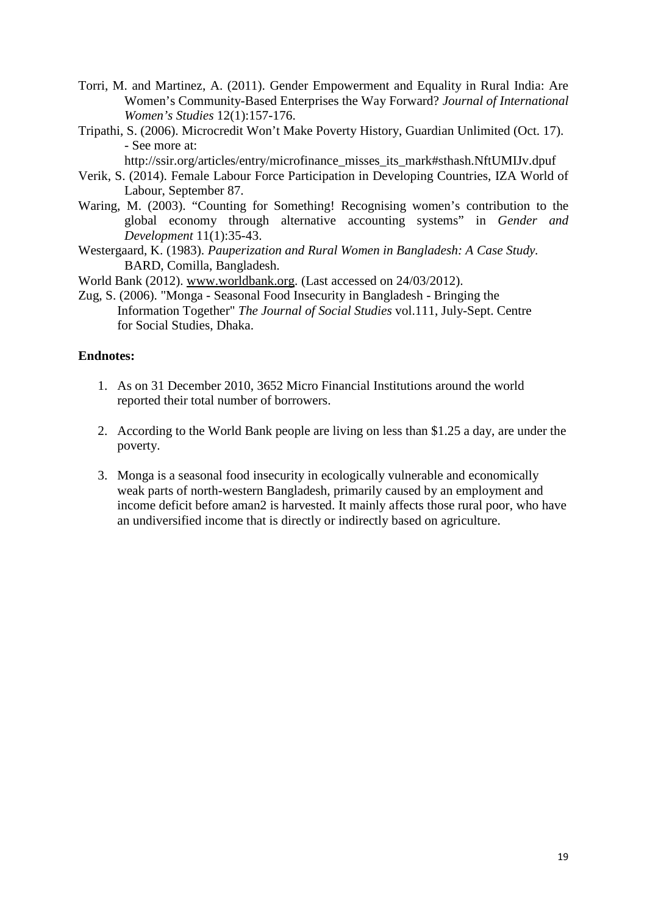- Torri, M. and Martinez, A. (2011). Gender Empowerment and Equality in Rural India: Are Women's Community-Based Enterprises the Way Forward? *Journal of International Women's Studies* 12(1):157-176.
- Tripathi, S. (2006). Microcredit Won't Make Poverty History, Guardian Unlimited (Oct. 17). - See more at:

http://ssir.org/articles/entry/microfinance\_misses\_its\_mark#sthash.NftUMIJv.dpuf

- Verik, S. (2014). Female Labour Force Participation in Developing Countries, IZA World of Labour, September 87.
- Waring, M. (2003). "Counting for Something! Recognising women's contribution to the global economy through alternative accounting systems" in *Gender and Development* 11(1):35-43.
- Westergaard, K. (1983). *Pauperization and Rural Women in Bangladesh: A Case Study.*  BARD, Comilla, Bangladesh.
- World Bank (2012). [www.worldbank.org.](http://www.worldbank.org/) (Last accessed on 24/03/2012).
- Zug, S. (2006). "Monga Seasonal Food Insecurity in Bangladesh Bringing the Information Together" *The Journal of Social Studies* vol.111, July-Sept. Centre for Social Studies, Dhaka.

# **Endnotes:**

- 1. As on 31 December 2010, 3652 Micro Financial Institutions around the world reported their total number of borrowers.
- 2. According to the World Bank people are living on less than \$1.25 a day, are under the poverty.
- 3. Monga is a seasonal food insecurity in ecologically vulnerable and economically weak parts of north-western Bangladesh, primarily caused by an employment and income deficit before aman2 is harvested. It mainly affects those rural poor, who have an undiversified income that is directly or indirectly based on agriculture.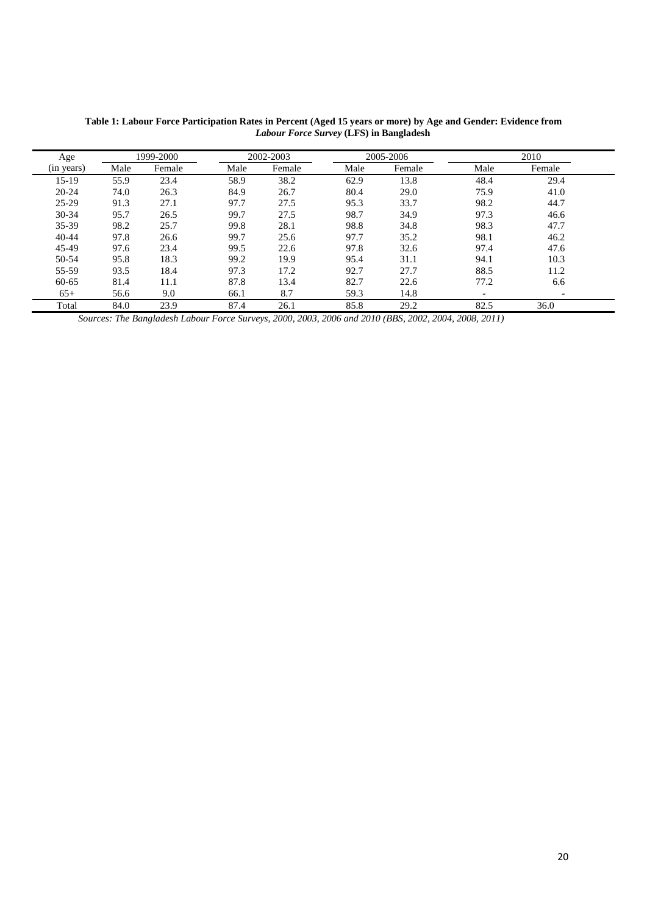| Age        | 1999-2000 |        |      | 2002-2003 |      | 2005-2006 |                          | 2010                     |  |
|------------|-----------|--------|------|-----------|------|-----------|--------------------------|--------------------------|--|
| (in years) | Male      | Female | Male | Female    | Male | Female    | Male                     | Female                   |  |
| 15-19      | 55.9      | 23.4   | 58.9 | 38.2      | 62.9 | 13.8      | 48.4                     | 29.4                     |  |
| $20 - 24$  | 74.0      | 26.3   | 84.9 | 26.7      | 80.4 | 29.0      | 75.9                     | 41.0                     |  |
| 25-29      | 91.3      | 27.1   | 97.7 | 27.5      | 95.3 | 33.7      | 98.2                     | 44.7                     |  |
| $30 - 34$  | 95.7      | 26.5   | 99.7 | 27.5      | 98.7 | 34.9      | 97.3                     | 46.6                     |  |
| 35-39      | 98.2      | 25.7   | 99.8 | 28.1      | 98.8 | 34.8      | 98.3                     | 47.7                     |  |
| $40 - 44$  | 97.8      | 26.6   | 99.7 | 25.6      | 97.7 | 35.2      | 98.1                     | 46.2                     |  |
| 45-49      | 97.6      | 23.4   | 99.5 | 22.6      | 97.8 | 32.6      | 97.4                     | 47.6                     |  |
| 50-54      | 95.8      | 18.3   | 99.2 | 19.9      | 95.4 | 31.1      | 94.1                     | 10.3                     |  |
| 55-59      | 93.5      | 18.4   | 97.3 | 17.2      | 92.7 | 27.7      | 88.5                     | 11.2                     |  |
| $60 - 65$  | 81.4      | 11.1   | 87.8 | 13.4      | 82.7 | 22.6      | 77.2                     | 6.6                      |  |
| $65+$      | 56.6      | 9.0    | 66.1 | 8.7       | 59.3 | 14.8      | $\overline{\phantom{0}}$ | $\overline{\phantom{0}}$ |  |
| Total      | 84.0      | 23.9   | 87.4 | 26.1      | 85.8 | 29.2      | 82.5                     | 36.0                     |  |

| Table 1: Labour Force Participation Rates in Percent (Aged 15 years or more) by Age and Gender: Evidence from |
|---------------------------------------------------------------------------------------------------------------|
| <i>Labour Force Survey</i> (LFS) in Bangladesh                                                                |

*Sources: The Bangladesh Labour Force Surveys, 2000, 2003, 2006 and 2010 (BBS, 2002, 2004, 2008, 2011)*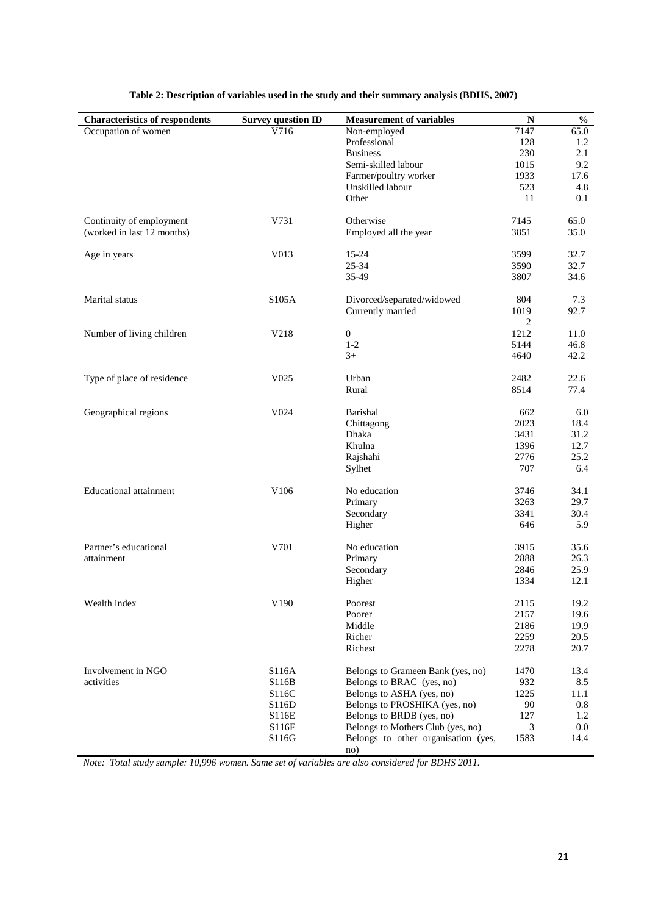| <b>Characteristics of respondents</b> | <b>Survey question ID</b> | <b>Measurement of variables</b>            | ${\bf N}$ | $\frac{0}{0}$ |
|---------------------------------------|---------------------------|--------------------------------------------|-----------|---------------|
| Occupation of women                   | V716                      | Non-employed                               | 7147      | 65.0          |
|                                       |                           | Professional                               | 128       | 1.2           |
|                                       |                           | <b>Business</b>                            | 230       | 2.1           |
|                                       |                           | Semi-skilled labour                        | 1015      | 9.2           |
|                                       |                           | Farmer/poultry worker                      | 1933      | 17.6          |
|                                       |                           | Unskilled labour                           | 523       | 4.8           |
|                                       |                           | Other                                      | 11        | 0.1           |
|                                       |                           |                                            |           |               |
| Continuity of employment              | V731                      | Otherwise                                  | 7145      | 65.0          |
| (worked in last 12 months)            |                           | Employed all the year                      | 3851      | 35.0          |
| Age in years                          | V013                      | 15-24                                      | 3599      | 32.7          |
|                                       |                           | 25-34                                      | 3590      | 32.7          |
|                                       |                           | 35-49                                      | 3807      | 34.6          |
| Marital status                        | S105A                     | Divorced/separated/widowed                 | 804       | 7.3           |
|                                       |                           | Currently married                          | 1019      | 92.7          |
|                                       |                           |                                            | 2         |               |
| Number of living children             | V218                      | $\boldsymbol{0}$                           | 1212      | 11.0          |
|                                       |                           | $1 - 2$                                    | 5144      | 46.8          |
|                                       |                           | $3+$                                       | 4640      | 42.2          |
|                                       |                           |                                            |           |               |
| Type of place of residence            | V025                      | Urban                                      | 2482      | 22.6          |
|                                       |                           | Rural                                      | 8514      | 77.4          |
| Geographical regions                  | V <sub>024</sub>          | Barishal                                   | 662       | 6.0           |
|                                       |                           | Chittagong                                 | 2023      | 18.4          |
|                                       |                           | Dhaka                                      | 3431      | 31.2          |
|                                       |                           | Khulna                                     | 1396      | 12.7          |
|                                       |                           | Rajshahi                                   | 2776      | 25.2          |
|                                       |                           | Sylhet                                     | 707       | 6.4           |
| <b>Educational attainment</b>         | V106                      | No education                               | 3746      | 34.1          |
|                                       |                           | Primary                                    | 3263      | 29.7          |
|                                       |                           | Secondary                                  | 3341      | 30.4          |
|                                       |                           | Higher                                     | 646       | 5.9           |
| Partner's educational                 | V701                      | No education                               | 3915      | 35.6          |
| attainment                            |                           | Primary                                    | 2888      | 26.3          |
|                                       |                           | Secondary                                  | 2846      | 25.9          |
|                                       |                           | Higher                                     | 1334      | 12.1          |
| Wealth index                          | V190                      | Poorest                                    | 2115      | 19.2          |
|                                       |                           | Poorer                                     | 2157      | 19.6          |
|                                       |                           | Middle                                     | 2186      | 19.9          |
|                                       |                           | Richer                                     | 2259      | 20.5          |
|                                       |                           | Richest                                    | 2278      | 20.7          |
|                                       |                           |                                            |           |               |
| Involvement in NGO                    | S116A                     | Belongs to Grameen Bank (yes, no)          | 1470      | 13.4          |
| activities                            | S116B                     | Belongs to BRAC (yes, no)                  | 932       | 8.5           |
|                                       | S116C                     | Belongs to ASHA (yes, no)                  | 1225      | 11.1          |
|                                       | S116D                     | Belongs to PROSHIKA (yes, no)              | 90        | 0.8           |
|                                       | S116E                     | Belongs to BRDB (yes, no)                  | 127       | 1.2           |
|                                       | S116F                     | Belongs to Mothers Club (yes, no)          | 3         | $0.0\,$       |
|                                       | S116G                     | Belongs to other organisation (yes,<br>no) | 1583      | 14.4          |

## **Table 2: Description of variables used in the study and their summary analysis (BDHS, 2007)**

 *Note: Total study sample: 10,996 women. Same set of variables are also considered for BDHS 2011.*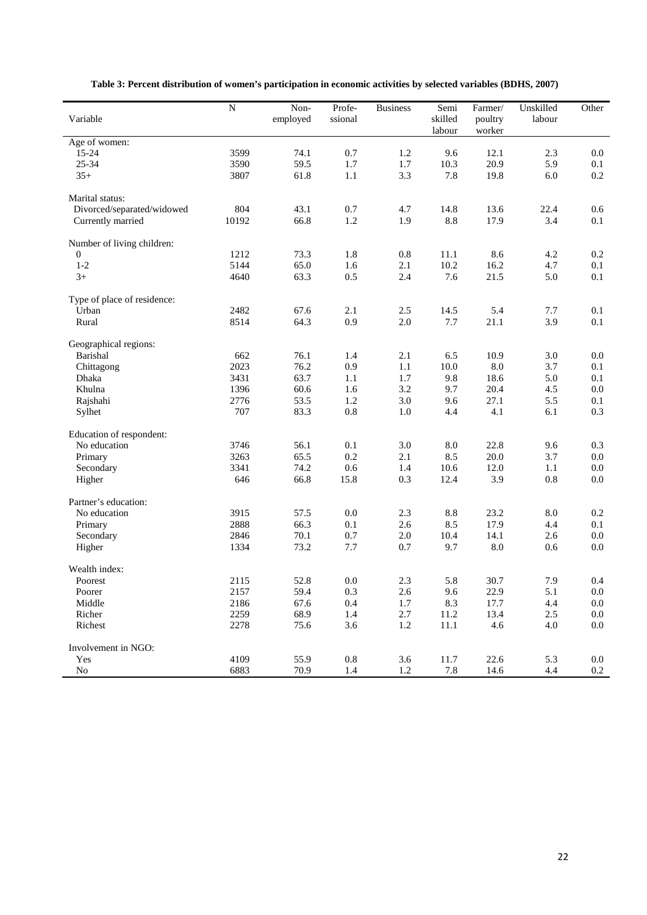|                             | $\mathbf N$ | Non-     | Profe-  | <b>Business</b> | Semi    | Farmer/ | Unskilled | Other   |
|-----------------------------|-------------|----------|---------|-----------------|---------|---------|-----------|---------|
| Variable                    |             | employed | ssional |                 | skilled | poultry | labour    |         |
|                             |             |          |         |                 | labour  | worker  |           |         |
| Age of women:               |             |          |         |                 |         |         |           |         |
| 15-24                       | 3599        | 74.1     | 0.7     | 1.2             | 9.6     | 12.1    | 2.3       | $0.0\,$ |
| 25-34                       | 3590        | 59.5     | 1.7     | 1.7             | 10.3    | 20.9    | 5.9       | 0.1     |
| $35+$                       | 3807        | 61.8     | $1.1\,$ | 3.3             | 7.8     | 19.8    | 6.0       | $0.2\,$ |
|                             |             |          |         |                 |         |         |           |         |
| Marital status:             |             |          |         |                 |         |         |           |         |
| Divorced/separated/widowed  | 804         | 43.1     | 0.7     | 4.7             | 14.8    | 13.6    | 22.4      | 0.6     |
| Currently married           | 10192       | 66.8     | 1.2     | 1.9             | 8.8     | 17.9    | 3.4       | 0.1     |
|                             |             |          |         |                 |         |         |           |         |
| Number of living children:  |             |          |         |                 |         |         |           |         |
| $\mathbf{0}$                | 1212        | 73.3     | 1.8     | 0.8             | 11.1    | 8.6     | 4.2       | 0.2     |
| $1-2$                       | 5144        | 65.0     | 1.6     | 2.1             | 10.2    | 16.2    | 4.7       | 0.1     |
| $3+$                        | 4640        | 63.3     | 0.5     | 2.4             | 7.6     | 21.5    | 5.0       | 0.1     |
|                             |             |          |         |                 |         |         |           |         |
| Type of place of residence: |             |          |         |                 |         |         |           |         |
| Urban                       | 2482        | 67.6     | 2.1     | 2.5             | 14.5    | 5.4     | 7.7       | 0.1     |
| Rural                       | 8514        | 64.3     | 0.9     | $2.0\,$         | 7.7     | 21.1    | 3.9       | 0.1     |
|                             |             |          |         |                 |         |         |           |         |
| Geographical regions:       |             |          |         |                 |         |         |           |         |
| Barishal                    | 662         | 76.1     | 1.4     | 2.1             | 6.5     | 10.9    | 3.0       | 0.0     |
| Chittagong                  | 2023        | 76.2     | 0.9     | 1.1             | 10.0    | 8.0     | 3.7       | 0.1     |
| Dhaka                       | 3431        | 63.7     | 1.1     | 1.7             | 9.8     | 18.6    | 5.0       | 0.1     |
| Khulna                      | 1396        | 60.6     | 1.6     | 3.2             | 9.7     | 20.4    | 4.5       | 0.0     |
| Rajshahi                    | 2776        | 53.5     | 1.2     | 3.0             | 9.6     | 27.1    | 5.5       | 0.1     |
| Sylhet                      | 707         | 83.3     | $0.8\,$ | 1.0             | 4.4     | 4.1     | 6.1       | 0.3     |
|                             |             |          |         |                 |         |         |           |         |
| Education of respondent:    |             |          |         |                 |         |         |           |         |
| No education                | 3746        | 56.1     | 0.1     | 3.0             | 8.0     | 22.8    | 9.6       | 0.3     |
| Primary                     | 3263        | 65.5     | 0.2     | 2.1             | 8.5     | 20.0    | 3.7       | 0.0     |
| Secondary                   | 3341        | 74.2     | 0.6     | 1.4             | 10.6    | 12.0    | 1.1       | $0.0\,$ |
| Higher                      | 646         | 66.8     | 15.8    | 0.3             | 12.4    | 3.9     | 0.8       | $0.0\,$ |
| Partner's education:        |             |          |         |                 |         |         |           |         |
| No education                | 3915        | 57.5     | 0.0     | 2.3             | 8.8     | 23.2    | 8.0       | 0.2     |
| Primary                     | 2888        | 66.3     | 0.1     | 2.6             | 8.5     | 17.9    | 4.4       | 0.1     |
| Secondary                   | 2846        | 70.1     | 0.7     | 2.0             | 10.4    | 14.1    | 2.6       | 0.0     |
| Higher                      | 1334        | 73.2     | 7.7     | 0.7             | 9.7     | 8.0     | 0.6       | 0.0     |
|                             |             |          |         |                 |         |         |           |         |
| Wealth index:               |             |          |         |                 |         |         |           |         |
| Poorest                     | 2115        | 52.8     | 0.0     | 2.3             | 5.8     | 30.7    | 7.9       | 0.4     |
| Poorer                      | 2157        | 59.4     | 0.3     | 2.6             | 9.6     | 22.9    | 5.1       | 0.0     |
| Middle                      | 2186        | 67.6     | 0.4     | 1.7             | 8.3     | 17.7    | 4.4       | $0.0\,$ |
| Richer                      | 2259        | 68.9     | 1.4     | $2.7\,$         | 11.2    | 13.4    | $2.5\,$   | $0.0\,$ |
| Richest                     | 2278        | 75.6     | 3.6     | $1.2\,$         | 11.1    | 4.6     | 4.0       | $0.0\,$ |
|                             |             |          |         |                 |         |         |           |         |
| Involvement in NGO:         |             |          |         |                 |         |         |           |         |
| Yes                         | 4109        | 55.9     | 0.8     | 3.6             | 11.7    | 22.6    | 5.3       | $0.0\,$ |
| $\rm No$                    | 6883        | 70.9     | 1.4     | 1.2             | 7.8     | 14.6    | 4.4       | $0.2\,$ |
|                             |             |          |         |                 |         |         |           |         |

## **Table 3: Percent distribution of women's participation in economic activities by selected variables (BDHS, 2007)**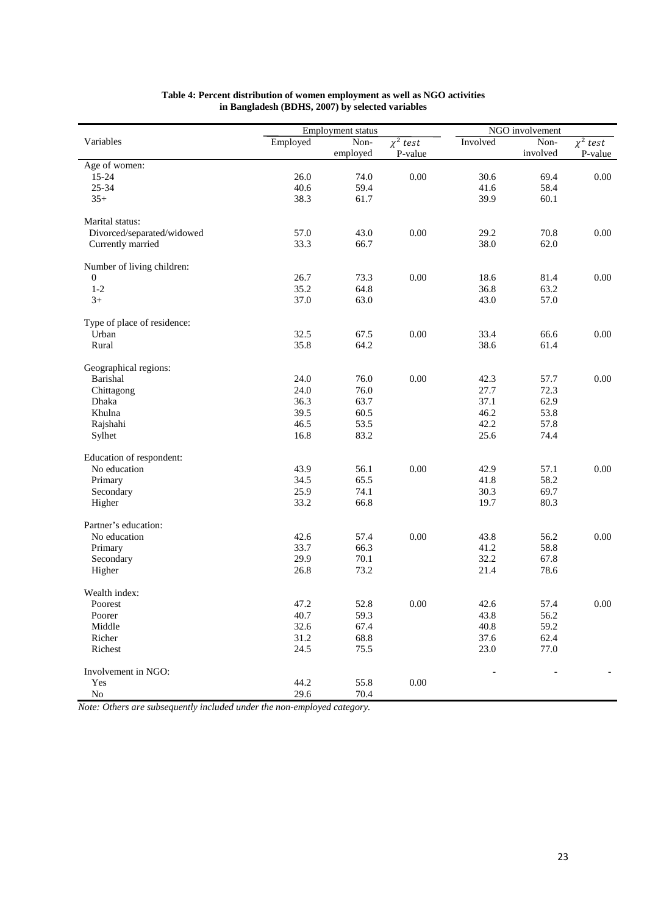|                             | <b>Employment</b> status |          |               |          | NGO involvement |               |  |  |
|-----------------------------|--------------------------|----------|---------------|----------|-----------------|---------------|--|--|
| Variables                   | Employed                 | Non-     | $\chi^2$ test | Involved | Non-            | $\chi^2$ test |  |  |
|                             |                          | employed | P-value       |          | involved        | P-value       |  |  |
| Age of women:               |                          |          |               |          |                 |               |  |  |
| $15 - 24$                   | 26.0                     | 74.0     | 0.00          | 30.6     | 69.4            | 0.00          |  |  |
| $25 - 34$                   | 40.6                     | 59.4     |               | 41.6     | 58.4            |               |  |  |
| $35+$                       | 38.3                     | 61.7     |               | 39.9     | 60.1            |               |  |  |
| Marital status:             |                          |          |               |          |                 |               |  |  |
| Divorced/separated/widowed  | 57.0                     | 43.0     | 0.00          | 29.2     | 70.8            | $0.00\,$      |  |  |
| Currently married           | 33.3                     | 66.7     |               | 38.0     | 62.0            |               |  |  |
| Number of living children:  |                          |          |               |          |                 |               |  |  |
| $\boldsymbol{0}$            | 26.7                     | 73.3     | 0.00          | 18.6     | 81.4            | 0.00          |  |  |
| $1 - 2$                     | 35.2                     | 64.8     |               | 36.8     | 63.2            |               |  |  |
| $3+$                        | 37.0                     | 63.0     |               | 43.0     | 57.0            |               |  |  |
| Type of place of residence: |                          |          |               |          |                 |               |  |  |
| Urban                       | 32.5                     | 67.5     | 0.00          | 33.4     | 66.6            | 0.00          |  |  |
| Rural                       | 35.8                     | 64.2     |               | 38.6     | 61.4            |               |  |  |
|                             |                          |          |               |          |                 |               |  |  |
| Geographical regions:       |                          |          |               |          |                 |               |  |  |
| Barishal                    | 24.0                     | 76.0     | $0.00\,$      | 42.3     | 57.7            | 0.00          |  |  |
| Chittagong                  | 24.0                     | 76.0     |               | 27.7     | 72.3            |               |  |  |
| Dhaka                       | 36.3                     | 63.7     |               | 37.1     | 62.9            |               |  |  |
| Khulna                      | 39.5                     | 60.5     |               | 46.2     | 53.8            |               |  |  |
| Rajshahi                    | 46.5                     | 53.5     |               | 42.2     | 57.8            |               |  |  |
| Sylhet                      | 16.8                     | 83.2     |               | 25.6     | 74.4            |               |  |  |
| Education of respondent:    |                          |          |               |          |                 |               |  |  |
| No education                | 43.9                     | 56.1     | 0.00          | 42.9     | 57.1            | 0.00          |  |  |
| Primary                     | 34.5                     | 65.5     |               | 41.8     | 58.2            |               |  |  |
| Secondary                   | 25.9                     | 74.1     |               | 30.3     | 69.7            |               |  |  |
| Higher                      | 33.2                     | 66.8     |               | 19.7     | 80.3            |               |  |  |
| Partner's education:        |                          |          |               |          |                 |               |  |  |
| No education                | 42.6                     | 57.4     | 0.00          | 43.8     | 56.2            | 0.00          |  |  |
| Primary                     | 33.7                     | 66.3     |               | 41.2     | 58.8            |               |  |  |
| Secondary                   | 29.9                     | 70.1     |               | 32.2     | 67.8            |               |  |  |
| Higher                      | 26.8                     | 73.2     |               | 21.4     | 78.6            |               |  |  |
| Wealth index:               |                          |          |               |          |                 |               |  |  |
| Poorest                     | 47.2                     | 52.8     | 0.00          | 42.6     | 57.4            | 0.00          |  |  |
| Poorer                      | 40.7                     | 59.3     |               | 43.8     | 56.2            |               |  |  |
| Middle                      | 32.6                     | 67.4     |               | 40.8     | 59.2            |               |  |  |
| Richer                      | 31.2                     | 68.8     |               | 37.6     | 62.4            |               |  |  |
| Richest                     | 24.5                     | 75.5     |               | 23.0     | 77.0            |               |  |  |
| Involvement in NGO:         |                          |          |               |          |                 |               |  |  |
| Yes                         | 44.2                     | 55.8     | $0.00\,$      |          |                 |               |  |  |
| $\rm No$                    | 29.6                     | 70.4     |               |          |                 |               |  |  |
|                             |                          |          |               |          |                 |               |  |  |

#### **Table 4: Percent distribution of women employment as well as NGO activities in Bangladesh (BDHS, 2007) by selected variables**

*Note: Others are subsequently included under the non-employed category.*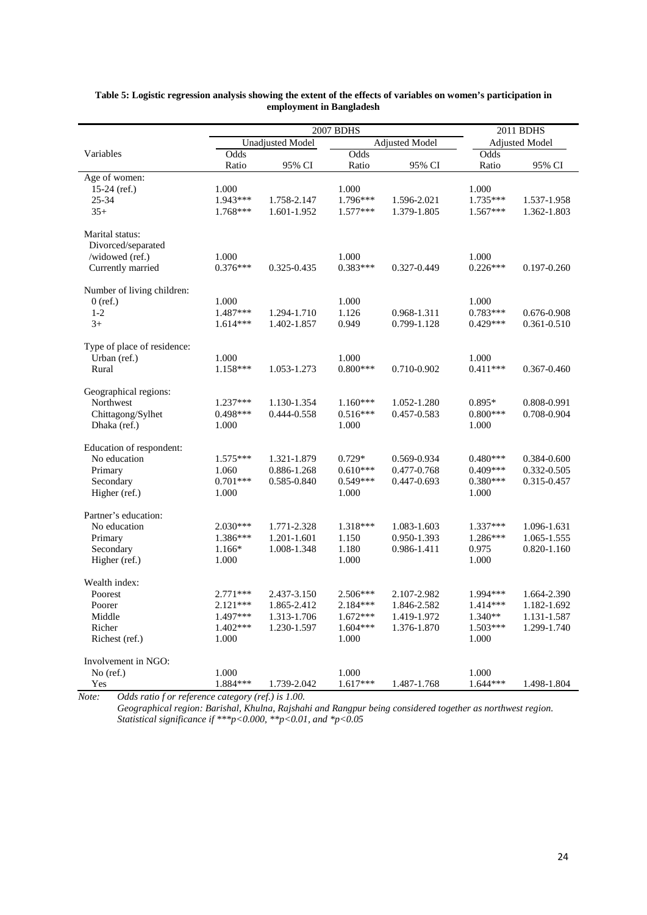|                             |            | <b>2007 BDHS</b>        | 2011 BDHS  |                       |                       |             |  |
|-----------------------------|------------|-------------------------|------------|-----------------------|-----------------------|-------------|--|
|                             |            | <b>Unadjusted Model</b> |            | <b>Adjusted Model</b> | <b>Adjusted Model</b> |             |  |
| Variables                   | Odds       |                         | Odds       |                       | Odds                  |             |  |
|                             | Ratio      | 95% CI                  | Ratio      | 95% CI                | Ratio                 | 95% CI      |  |
| Age of women:               |            |                         |            |                       |                       |             |  |
| $15-24$ (ref.)              | 1.000      |                         | 1.000      |                       | 1.000                 |             |  |
| 25-34                       | 1.943***   | 1.758-2.147             | 1.796***   | 1.596-2.021           | 1.735***              | 1.537-1.958 |  |
| $35+$                       | 1.768***   | 1.601-1.952             | $1.577***$ | 1.379-1.805           | $1.567***$            | 1.362-1.803 |  |
| Marital status:             |            |                         |            |                       |                       |             |  |
| Divorced/separated          |            |                         |            |                       |                       |             |  |
| /widowed (ref.)             | 1.000      |                         | 1.000      |                       | 1.000                 |             |  |
| Currently married           | $0.376***$ | 0.325-0.435             | $0.383***$ | 0.327-0.449           | $0.226***$            | 0.197-0.260 |  |
| Number of living children:  |            |                         |            |                       |                       |             |  |
| $0$ (ref.)                  | 1.000      |                         | 1.000      |                       | 1.000                 |             |  |
| $1 - 2$                     | 1.487***   | 1.294-1.710             | 1.126      | 0.968-1.311           | $0.783***$            | 0.676-0.908 |  |
| $3+$                        | $1.614***$ | 1.402-1.857             | 0.949      | 0.799-1.128           | $0.429***$            | 0.361-0.510 |  |
| Type of place of residence: |            |                         |            |                       |                       |             |  |
| Urban (ref.)                | 1.000      |                         | 1.000      |                       | 1.000                 |             |  |
| Rural                       | 1.158***   | 1.053-1.273             | $0.800***$ | 0.710-0.902           | $0.411***$            | 0.367-0.460 |  |
| Geographical regions:       |            |                         |            |                       |                       |             |  |
| Northwest                   | $1.237***$ | 1.130-1.354             | $1.160***$ | 1.052-1.280           | 0.895*                | 0.808-0.991 |  |
| Chittagong/Sylhet           | 0.498***   | 0.444-0.558             | $0.516***$ | 0.457-0.583           | $0.800***$            | 0.708-0.904 |  |
| Dhaka (ref.)                | 1.000      |                         | 1.000      |                       | 1.000                 |             |  |
| Education of respondent:    |            |                         |            |                       |                       |             |  |
| No education                | $1.575***$ | 1.321-1.879             | $0.729*$   | 0.569-0.934           | $0.480***$            | 0.384-0.600 |  |
| Primary                     | 1.060      | 0.886-1.268             | $0.610***$ | 0.477-0.768           | $0.409***$            | 0.332-0.505 |  |
| Secondary                   | $0.701***$ | 0.585-0.840             | $0.549***$ | 0.447-0.693           | $0.380***$            | 0.315-0.457 |  |
| Higher (ref.)               | 1.000      |                         | 1.000      |                       | 1.000                 |             |  |
| Partner's education:        |            |                         |            |                       |                       |             |  |
| No education                | $2.030***$ | 1.771-2.328             | 1.318***   | 1.083-1.603           | 1.337***              | 1.096-1.631 |  |
| Primary                     | 1.386***   | 1.201-1.601             | 1.150      | 0.950-1.393           | 1.286***              | 1.065-1.555 |  |
| Secondary                   | 1.166*     | 1.008-1.348             | 1.180      | 0.986-1.411           | 0.975                 | 0.820-1.160 |  |
| Higher (ref.)               | 1.000      |                         | 1.000      |                       | 1.000                 |             |  |
| Wealth index:               |            |                         |            |                       |                       |             |  |
| Poorest                     | $2.771***$ | 2.437-3.150             | 2.506***   | 2.107-2.982           | 1.994***              | 1.664-2.390 |  |
| Poorer                      | 2.121***   | 1.865-2.412             | 2.184***   | 1.846-2.582           | $1.414***$            | 1.182-1.692 |  |
| Middle                      | 1.497***   | 1.313-1.706             | $1.672***$ | 1.419-1.972           | $1.340**$             | 1.131-1.587 |  |
| Richer                      | $1.402***$ | 1.230-1.597             | $1.604***$ | 1.376-1.870           | 1.503***              | 1.299-1.740 |  |
| Richest (ref.)              | 1.000      |                         | 1.000      |                       | 1.000                 |             |  |
| Involvement in NGO:         |            |                         |            |                       |                       |             |  |
| $No$ (ref.)                 | 1.000      |                         | 1.000      |                       | 1.000                 |             |  |
| Yes                         | 1.884***   | 1.739-2.042             | $1.617***$ | 1.487-1.768           | $1.644***$            | 1.498-1.804 |  |

**Table 5: Logistic regression analysis showing the extent of the effects of variables on women's participation in employment in Bangladesh**

*Note: Odds ratio f or reference category (ref.) is 1.00.* 

*Geographical region: Barishal, Khulna, Rajshahi and Rangpur being considered together as northwest region. Statistical significance if \*\*\*p<0.000, \*\*p<0.01, and \*p<0.05*